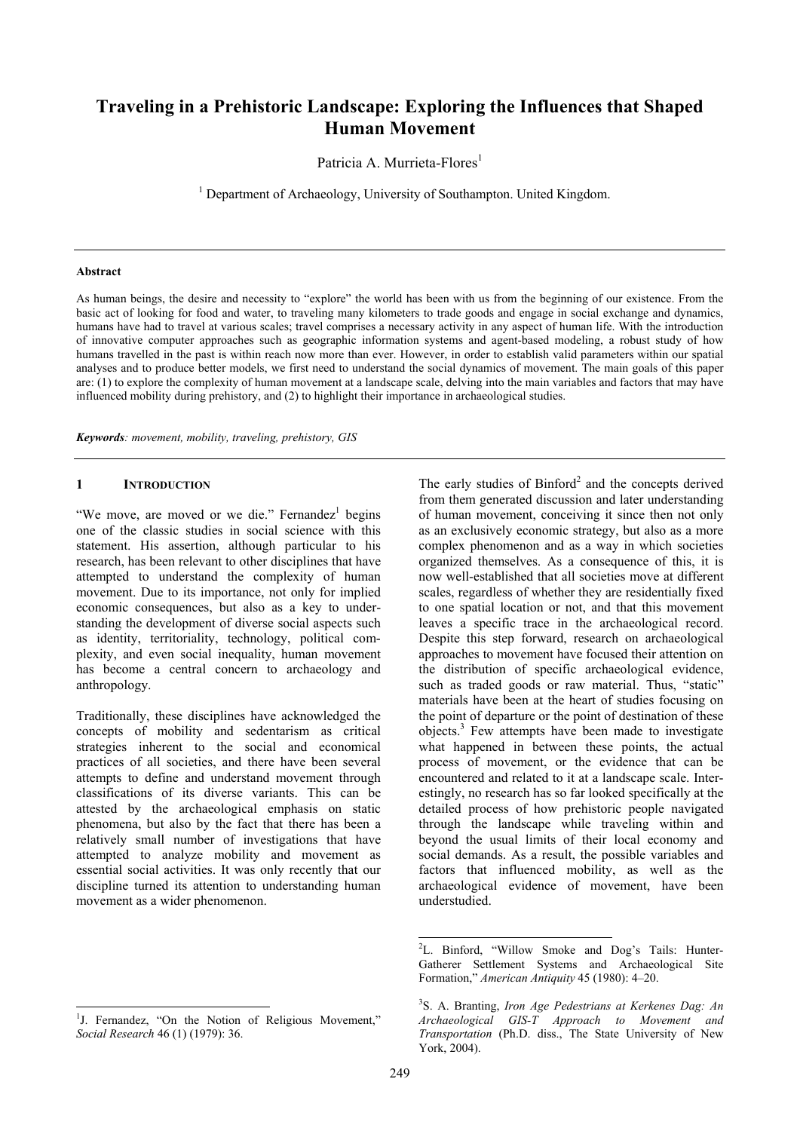# **Traveling in a Prehistoric Landscape: Exploring the Influences that Shaped Human Movement**

Patricia A. Murrieta-Flores<sup>1</sup>

<sup>1</sup> Department of Archaeology, University of Southampton. United Kingdom.

#### **Abstract**

As human beings, the desire and necessity to "explore" the world has been with us from the beginning of our existence. From the basic act of looking for food and water, to traveling many kilometers to trade goods and engage in social exchange and dynamics, humans have had to travel at various scales; travel comprises a necessary activity in any aspect of human life. With the introduction of innovative computer approaches such as geographic information systems and agent-based modeling, a robust study of how humans travelled in the past is within reach now more than ever. However, in order to establish valid parameters within our spatial analyses and to produce better models, we first need to understand the social dynamics of movement. The main goals of this paper are: (1) to explore the complexity of human movement at a landscape scale, delving into the main variables and factors that may have influenced mobility during prehistory, and (2) to highlight their importance in archaeological studies.

*Keywords: movement, mobility, traveling, prehistory, GIS* 

### **1 INTRODUCTION**

"We move, are moved or we die." Fernandez<sup>1</sup> begins one of the classic studies in social science with this statement. His assertion, although particular to his research, has been relevant to other disciplines that have attempted to understand the complexity of human movement. Due to its importance, not only for implied economic consequences, but also as a key to understanding the development of diverse social aspects such as identity, territoriality, technology, political complexity, and even social inequality, human movement has become a central concern to archaeology and anthropology.

Traditionally, these disciplines have acknowledged the concepts of mobility and sedentarism as critical strategies inherent to the social and economical practices of all societies, and there have been several attempts to define and understand movement through classifications of its diverse variants. This can be attested by the archaeological emphasis on static phenomena, but also by the fact that there has been a relatively small number of investigations that have attempted to analyze mobility and movement as essential social activities. It was only recently that our discipline turned its attention to understanding human movement as a wider phenomenon.

The early studies of  $\text{Binford}^2$  and the concepts derived from them generated discussion and later understanding of human movement, conceiving it since then not only as an exclusively economic strategy, but also as a more complex phenomenon and as a way in which societies organized themselves. As a consequence of this, it is now well-established that all societies move at different scales, regardless of whether they are residentially fixed to one spatial location or not, and that this movement leaves a specific trace in the archaeological record. Despite this step forward, research on archaeological approaches to movement have focused their attention on the distribution of specific archaeological evidence, such as traded goods or raw material. Thus, "static" materials have been at the heart of studies focusing on the point of departure or the point of destination of these objects.3 Few attempts have been made to investigate what happened in between these points, the actual process of movement, or the evidence that can be encountered and related to it at a landscape scale. Interestingly, no research has so far looked specifically at the detailed process of how prehistoric people navigated through the landscape while traveling within and beyond the usual limits of their local economy and social demands. As a result, the possible variables and factors that influenced mobility, as well as the archaeological evidence of movement, have been understudied.

 $\overline{a}$ 

 2 L. Binford, "Willow Smoke and Dog's Tails: Hunter-Gatherer Settlement Systems and Archaeological Site Formation," *American Antiquity* 45 (1980): 4–20.

<sup>3</sup> S. A. Branting, *Iron Age Pedestrians at Kerkenes Dag: An Archaeological GIS-T Approach to Movement and Transportation* (Ph.D. diss., The State University of New York, 2004).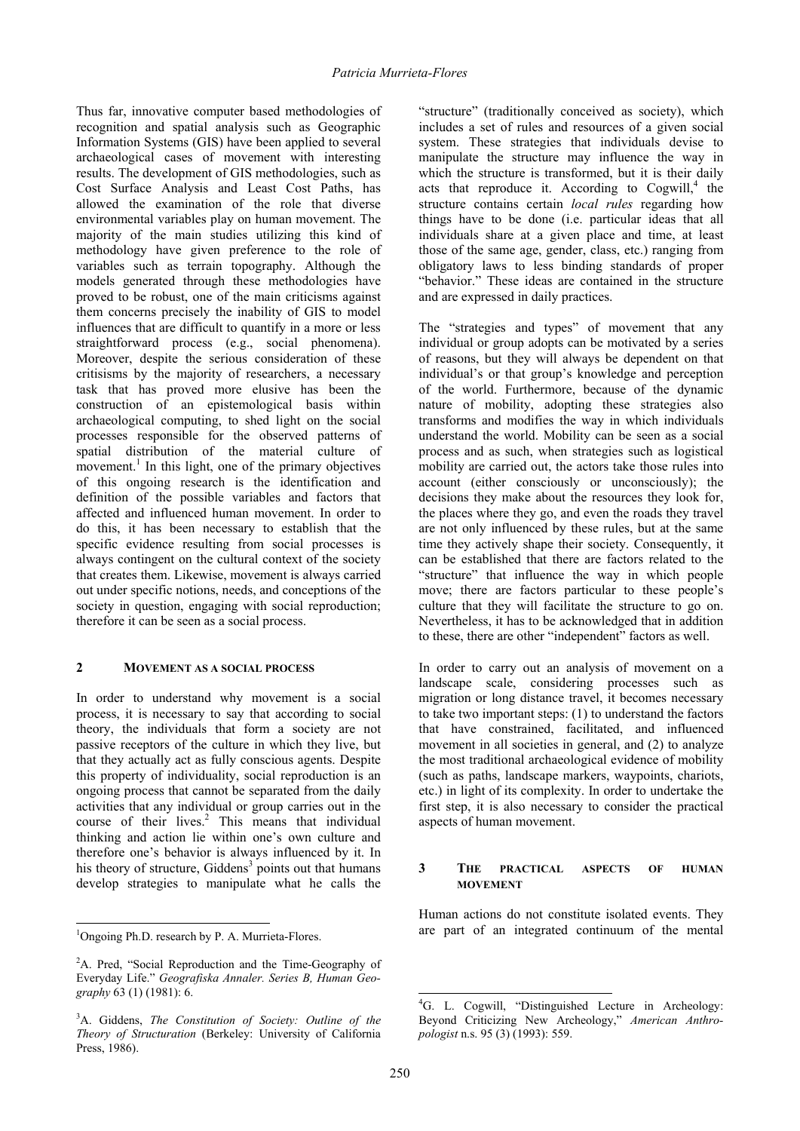Thus far, innovative computer based methodologies of recognition and spatial analysis such as Geographic Information Systems (GIS) have been applied to several archaeological cases of movement with interesting results. The development of GIS methodologies, such as Cost Surface Analysis and Least Cost Paths, has allowed the examination of the role that diverse environmental variables play on human movement. The majority of the main studies utilizing this kind of methodology have given preference to the role of variables such as terrain topography. Although the models generated through these methodologies have proved to be robust, one of the main criticisms against them concerns precisely the inability of GIS to model influences that are difficult to quantify in a more or less straightforward process (e.g., social phenomena). Moreover, despite the serious consideration of these critisisms by the majority of researchers, a necessary task that has proved more elusive has been the construction of an epistemological basis within archaeological computing, to shed light on the social processes responsible for the observed patterns of spatial distribution of the material culture of movement.<sup>1</sup> In this light, one of the primary objectives of this ongoing research is the identification and definition of the possible variables and factors that affected and influenced human movement. In order to do this, it has been necessary to establish that the specific evidence resulting from social processes is always contingent on the cultural context of the society that creates them. Likewise, movement is always carried out under specific notions, needs, and conceptions of the society in question, engaging with social reproduction; therefore it can be seen as a social process.

### **2 MOVEMENT AS A SOCIAL PROCESS**

In order to understand why movement is a social process, it is necessary to say that according to social theory, the individuals that form a society are not passive receptors of the culture in which they live, but that they actually act as fully conscious agents. Despite this property of individuality, social reproduction is an ongoing process that cannot be separated from the daily activities that any individual or group carries out in the course of their lives.<sup>2</sup> This means that individual thinking and action lie within one's own culture and therefore one's behavior is always influenced by it. In his theory of structure, Giddens<sup>3</sup> points out that humans develop strategies to manipulate what he calls the

 $\overline{a}$ 

"structure" (traditionally conceived as society), which includes a set of rules and resources of a given social system. These strategies that individuals devise to manipulate the structure may influence the way in which the structure is transformed, but it is their daily acts that reproduce it. According to  $Cogwill<sub>i</sub><sup>4</sup>$  the structure contains certain *local rules* regarding how things have to be done (i.e. particular ideas that all individuals share at a given place and time, at least those of the same age, gender, class, etc.) ranging from obligatory laws to less binding standards of proper "behavior." These ideas are contained in the structure and are expressed in daily practices.

The "strategies and types" of movement that any individual or group adopts can be motivated by a series of reasons, but they will always be dependent on that individual's or that group's knowledge and perception of the world. Furthermore, because of the dynamic nature of mobility, adopting these strategies also transforms and modifies the way in which individuals understand the world. Mobility can be seen as a social process and as such, when strategies such as logistical mobility are carried out, the actors take those rules into account (either consciously or unconsciously); the decisions they make about the resources they look for, the places where they go, and even the roads they travel are not only influenced by these rules, but at the same time they actively shape their society. Consequently, it can be established that there are factors related to the "structure" that influence the way in which people move; there are factors particular to these people's culture that they will facilitate the structure to go on. Nevertheless, it has to be acknowledged that in addition to these, there are other "independent" factors as well.

In order to carry out an analysis of movement on a landscape scale, considering processes such as migration or long distance travel, it becomes necessary to take two important steps: (1) to understand the factors that have constrained, facilitated, and influenced movement in all societies in general, and (2) to analyze the most traditional archaeological evidence of mobility (such as paths, landscape markers, waypoints, chariots, etc.) in light of its complexity. In order to undertake the first step, it is also necessary to consider the practical aspects of human movement.

### **3 THE PRACTICAL ASPECTS OF HUMAN MOVEMENT**

Human actions do not constitute isolated events. They are part of an integrated continuum of the mental

<sup>&</sup>lt;sup>1</sup>Ongoing Ph.D. research by P. A. Murrieta-Flores.

<sup>&</sup>lt;sup>2</sup>A. Pred, "Social Reproduction and the Time-Geography of Everyday Life." *Geografiska Annaler. Series B, Human Geography* 63 (1) (1981): 6.

<sup>3</sup> A. Giddens, *The Constitution of Society: Outline of the Theory of Structuration* (Berkeley: University of California Press, 1986).

<sup>4</sup> G. L. Cogwill, "Distinguished Lecture in Archeology: Beyond Criticizing New Archeology," *American Anthropologist* n.s. 95 (3) (1993): 559.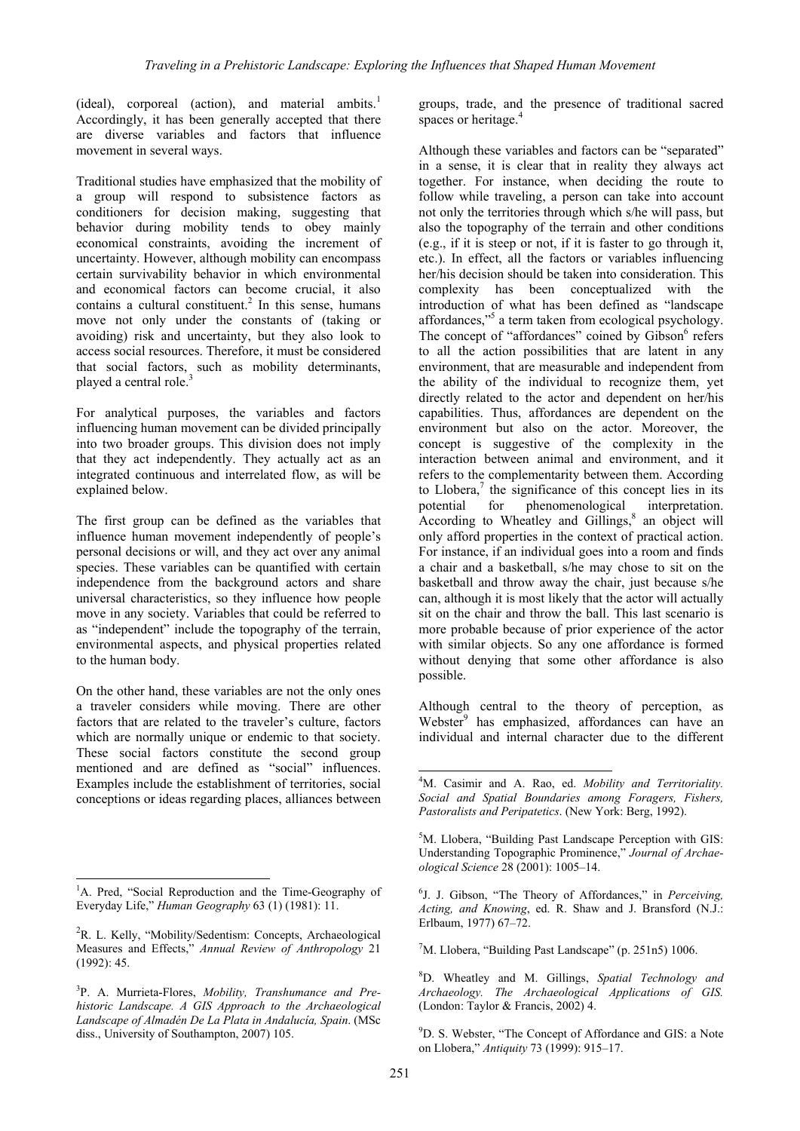(ideal), corporeal (action), and material ambits.<sup>1</sup> Accordingly, it has been generally accepted that there are diverse variables and factors that influence movement in several ways.

Traditional studies have emphasized that the mobility of a group will respond to subsistence factors as conditioners for decision making, suggesting that behavior during mobility tends to obey mainly economical constraints, avoiding the increment of uncertainty. However, although mobility can encompass certain survivability behavior in which environmental and economical factors can become crucial, it also contains a cultural constituent.<sup>2</sup> In this sense, humans move not only under the constants of (taking or avoiding) risk and uncertainty, but they also look to access social resources. Therefore, it must be considered that social factors, such as mobility determinants, played a central role.<sup>3</sup>

For analytical purposes, the variables and factors influencing human movement can be divided principally into two broader groups. This division does not imply that they act independently. They actually act as an integrated continuous and interrelated flow, as will be explained below.

The first group can be defined as the variables that influence human movement independently of people's personal decisions or will, and they act over any animal species. These variables can be quantified with certain independence from the background actors and share universal characteristics, so they influence how people move in any society. Variables that could be referred to as "independent" include the topography of the terrain, environmental aspects, and physical properties related to the human body.

On the other hand, these variables are not the only ones a traveler considers while moving. There are other factors that are related to the traveler's culture, factors which are normally unique or endemic to that society. These social factors constitute the second group mentioned and are defined as "social" influences. Examples include the establishment of territories, social conceptions or ideas regarding places, alliances between

 $\overline{a}$ 

groups, trade, and the presence of traditional sacred spaces or heritage.<sup>4</sup>

Although these variables and factors can be "separated" in a sense, it is clear that in reality they always act together. For instance, when deciding the route to follow while traveling, a person can take into account not only the territories through which s/he will pass, but also the topography of the terrain and other conditions (e.g., if it is steep or not, if it is faster to go through it, etc.). In effect, all the factors or variables influencing her/his decision should be taken into consideration. This complexity has been conceptualized with the introduction of what has been defined as "landscape affordances,"5 a term taken from ecological psychology. The concept of "affordances" coined by Gibson<sup>6</sup> refers to all the action possibilities that are latent in any environment, that are measurable and independent from the ability of the individual to recognize them, yet directly related to the actor and dependent on her/his capabilities. Thus, affordances are dependent on the environment but also on the actor. Moreover, the concept is suggestive of the complexity in the interaction between animal and environment, and it refers to the complementarity between them. According to Llobera, $\frac{7}{1}$  the significance of this concept lies in its potential for phenomenological interpretation. According to Wheatley and Gillings, $8$  an object will only afford properties in the context of practical action. For instance, if an individual goes into a room and finds a chair and a basketball, s/he may chose to sit on the basketball and throw away the chair, just because s/he can, although it is most likely that the actor will actually sit on the chair and throw the ball. This last scenario is more probable because of prior experience of the actor with similar objects. So any one affordance is formed without denying that some other affordance is also possible.

Although central to the theory of perception, as Webster<sup>9</sup> has emphasized, affordances can have an individual and internal character due to the different

<sup>7</sup>M. Llobera, "Building Past Landscape" (p. 251n5) 1006.

8 D. Wheatley and M. Gillings, *Spatial Technology and Archaeology. The Archaeological Applications of GIS.* (London: Taylor & Francis, 2002) 4.

<sup>9</sup>D. S. Webster, "The Concept of Affordance and GIS: a Note on Llobera," *Antiquity* 73 (1999): 915–17.

<sup>&</sup>lt;sup>1</sup>A. Pred, "Social Reproduction and the Time-Geography of Everyday Life," *Human Geography* 63 (1) (1981): 11.

<sup>&</sup>lt;sup>2</sup>R. L. Kelly, "Mobility/Sedentism: Concepts, Archaeological Measures and Effects," *Annual Review of Anthropology* 21 (1992): 45.

<sup>3</sup> P. A. Murrieta-Flores, *Mobility, Transhumance and Prehistoric Landscape. A GIS Approach to the Archaeological Landscape of Almadén De La Plata in Andalucía, Spain*. (MSc diss., University of Southampton, 2007) 105.

<sup>4</sup> M. Casimir and A. Rao, ed. *Mobility and Territoriality. Social and Spatial Boundaries among Foragers, Fishers, Pastoralists and Peripatetics*. (New York: Berg, 1992).

<sup>5</sup> M. Llobera, "Building Past Landscape Perception with GIS: Understanding Topographic Prominence," *Journal of Archaeological Science* 28 (2001): 1005–14.

<sup>6</sup> J. J. Gibson, "The Theory of Affordances," in *Perceiving, Acting, and Knowing*, ed. R. Shaw and J. Bransford (N.J.: Erlbaum, 1977) 67–72.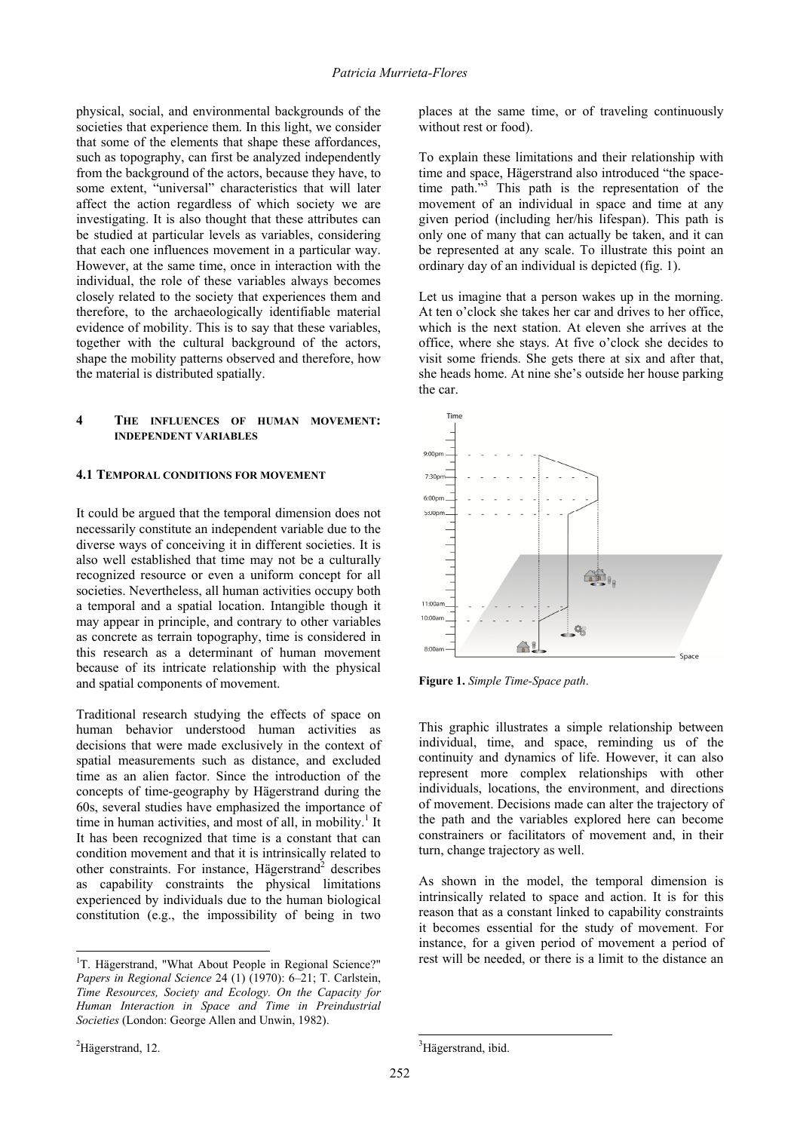physical, social, and environmental backgrounds of the societies that experience them. In this light, we consider that some of the elements that shape these affordances, such as topography, can first be analyzed independently from the background of the actors, because they have, to some extent, "universal" characteristics that will later affect the action regardless of which society we are investigating. It is also thought that these attributes can be studied at particular levels as variables, considering that each one influences movement in a particular way. However, at the same time, once in interaction with the individual, the role of these variables always becomes closely related to the society that experiences them and therefore, to the archaeologically identifiable material evidence of mobility. This is to say that these variables, together with the cultural background of the actors, shape the mobility patterns observed and therefore, how the material is distributed spatially.

### **4 THE INFLUENCES OF HUMAN MOVEMENT: INDEPENDENT VARIABLES**

### **4.1 TEMPORAL CONDITIONS FOR MOVEMENT**

It could be argued that the temporal dimension does not necessarily constitute an independent variable due to the diverse ways of conceiving it in different societies. It is also well established that time may not be a culturally recognized resource or even a uniform concept for all societies. Nevertheless, all human activities occupy both a temporal and a spatial location. Intangible though it may appear in principle, and contrary to other variables as concrete as terrain topography, time is considered in this research as a determinant of human movement because of its intricate relationship with the physical and spatial components of movement.

Traditional research studying the effects of space on human behavior understood human activities as decisions that were made exclusively in the context of spatial measurements such as distance, and excluded time as an alien factor. Since the introduction of the concepts of time-geography by Hägerstrand during the 60s, several studies have emphasized the importance of time in human activities, and most of all, in mobility.<sup>1</sup> It It has been recognized that time is a constant that can condition movement and that it is intrinsically related to other constraints. For instance, Hägerstrand<sup>2</sup> describes as capability constraints the physical limitations experienced by individuals due to the human biological constitution (e.g., the impossibility of being in two

places at the same time, or of traveling continuously without rest or food).

To explain these limitations and their relationship with time and space, Hägerstrand also introduced "the spacetime path."<sup>3</sup> This path is the representation of the movement of an individual in space and time at any given period (including her/his lifespan). This path is only one of many that can actually be taken, and it can be represented at any scale. To illustrate this point an ordinary day of an individual is depicted (fig. 1).

Let us imagine that a person wakes up in the morning. At ten o'clock she takes her car and drives to her office, which is the next station. At eleven she arrives at the office, where she stays. At five o'clock she decides to visit some friends. She gets there at six and after that, she heads home. At nine she's outside her house parking the car.



**Figure 1.** *Simple Time-Space path*.

This graphic illustrates a simple relationship between individual, time, and space, reminding us of the continuity and dynamics of life. However, it can also represent more complex relationships with other individuals, locations, the environment, and directions of movement. Decisions made can alter the trajectory of the path and the variables explored here can become constrainers or facilitators of movement and, in their turn, change trajectory as well.

As shown in the model, the temporal dimension is intrinsically related to space and action. It is for this reason that as a constant linked to capability constraints it becomes essential for the study of movement. For instance, for a given period of movement a period of rest will be needed, or there is a limit to the distance an

 $\overline{a}$ 

<sup>&</sup>lt;sup>1</sup>T. Hägerstrand, "What About People in Regional Science?" *Papers in Regional Science* 24 (1) (1970): 6–21; T. Carlstein, *Time Resources, Society and Ecology. On the Capacity for Human Interaction in Space and Time in Preindustrial Societies* (London: George Allen and Unwin, 1982).

 ${}^{2}$ Hägerstrand, 12.

<sup>&</sup>lt;sup>3</sup>Hägerstrand, ibid.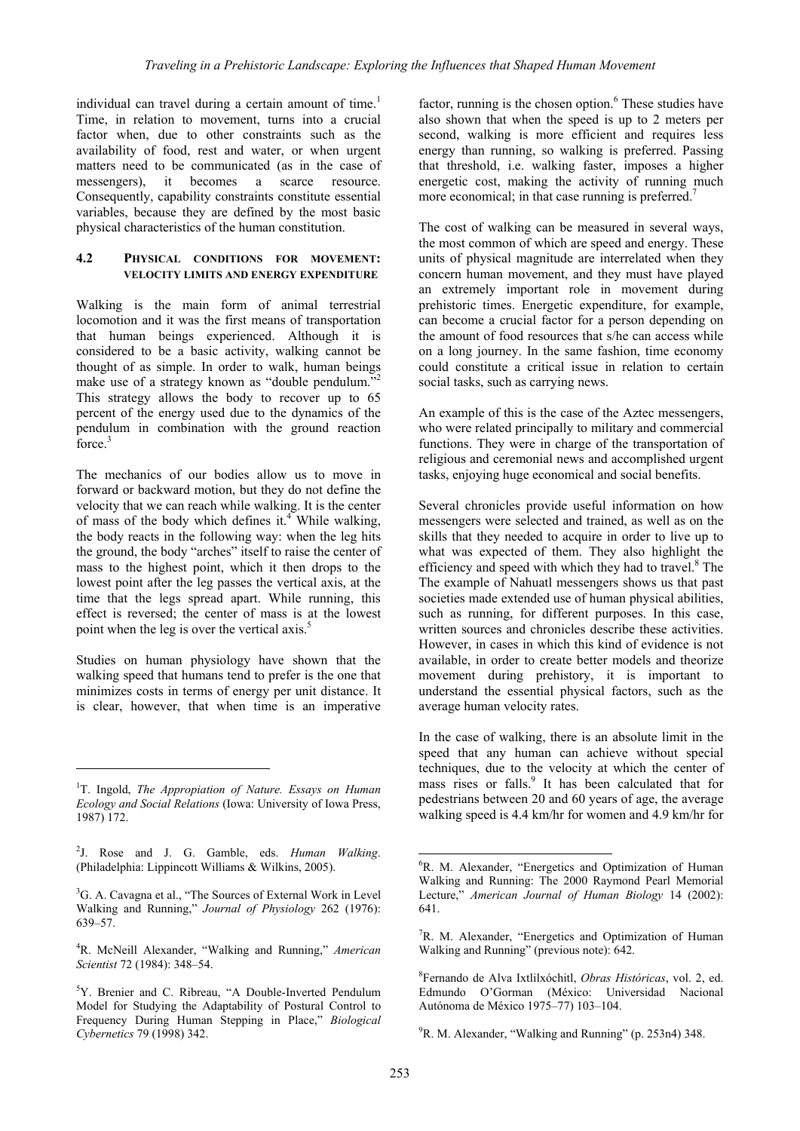individual can travel during a certain amount of time.<sup>1</sup> Time, in relation to movement, turns into a crucial factor when, due to other constraints such as the availability of food, rest and water, or when urgent matters need to be communicated (as in the case of messengers), it becomes a scarce resource. Consequently, capability constraints constitute essential variables, because they are defined by the most basic physical characteristics of the human constitution.

### **4.2 PHYSICAL CONDITIONS FOR MOVEMENT: VELOCITY LIMITS AND ENERGY EXPENDITURE**

Walking is the main form of animal terrestrial locomotion and it was the first means of transportation that human beings experienced. Although it is considered to be a basic activity, walking cannot be thought of as simple. In order to walk, human beings make use of a strategy known as "double pendulum."<sup>2</sup> This strategy allows the body to recover up to 65 percent of the energy used due to the dynamics of the pendulum in combination with the ground reaction force.<sup>3</sup>

The mechanics of our bodies allow us to move in forward or backward motion, but they do not define the velocity that we can reach while walking. It is the center of mass of the body which defines it.<sup>4</sup> While walking, the body reacts in the following way: when the leg hits the ground, the body "arches" itself to raise the center of mass to the highest point, which it then drops to the lowest point after the leg passes the vertical axis, at the time that the legs spread apart. While running, this effect is reversed; the center of mass is at the lowest point when the leg is over the vertical axis.<sup>5</sup>

Studies on human physiology have shown that the walking speed that humans tend to prefer is the one that minimizes costs in terms of energy per unit distance. It is clear, however, that when time is an imperative

 $\overline{a}$ 

2 J. Rose and J. G. Gamble, eds. *Human Walking*. (Philadelphia: Lippincott Williams & Wilkins, 2005).

<sup>3</sup>G. A. Cavagna et al., "The Sources of External Work in Level Walking and Running," *Journal of Physiology* 262 (1976): 639–57.

4 R. McNeill Alexander, "Walking and Running," *American Scientist* 72 (1984): 348–54.

factor, running is the chosen option.<sup>6</sup> These studies have also shown that when the speed is up to 2 meters per second, walking is more efficient and requires less energy than running, so walking is preferred. Passing that threshold, i.e. walking faster, imposes a higher energetic cost, making the activity of running much more economical; in that case running is preferred.<sup>7</sup>

The cost of walking can be measured in several ways, the most common of which are speed and energy. These units of physical magnitude are interrelated when they concern human movement, and they must have played an extremely important role in movement during prehistoric times. Energetic expenditure, for example, can become a crucial factor for a person depending on the amount of food resources that s/he can access while on a long journey. In the same fashion, time economy could constitute a critical issue in relation to certain social tasks, such as carrying news.

An example of this is the case of the Aztec messengers, who were related principally to military and commercial functions. They were in charge of the transportation of religious and ceremonial news and accomplished urgent tasks, enjoying huge economical and social benefits.

Several chronicles provide useful information on how messengers were selected and trained, as well as on the skills that they needed to acquire in order to live up to what was expected of them. They also highlight the efficiency and speed with which they had to travel.<sup>8</sup> The The example of Nahuatl messengers shows us that past societies made extended use of human physical abilities, such as running, for different purposes. In this case, written sources and chronicles describe these activities. However, in cases in which this kind of evidence is not available, in order to create better models and theorize movement during prehistory, it is important to understand the essential physical factors, such as the average human velocity rates.

In the case of walking, there is an absolute limit in the speed that any human can achieve without special techniques, due to the velocity at which the center of mass rises or falls.<sup>9</sup> It has been calculated that for pedestrians between 20 and 60 years of age, the average walking speed is 4.4 km/hr for women and 4.9 km/hr for

<sup>9</sup>R. M. Alexander, "Walking and Running" (p. 253n4) 348.

<sup>&</sup>lt;sup>1</sup>T. Ingold, *The Appropiation of Nature. Essays on Human Ecology and Social Relations* (Iowa: University of Iowa Press, 1987) 172.

<sup>&</sup>lt;sup>5</sup>Y. Brenier and C. Ribreau, "A Double-Inverted Pendulum Model for Studying the Adaptability of Postural Control to Frequency During Human Stepping in Place," *Biological Cybernetics* 79 (1998) 342.

<sup>6</sup> R. M. Alexander, "Energetics and Optimization of Human Walking and Running: The 2000 Raymond Pearl Memorial Lecture," *American Journal of Human Biology* 14 (2002): 641.

<sup>&</sup>lt;sup>7</sup>R. M. Alexander, "Energetics and Optimization of Human Walking and Running" (previous note): 642.

<sup>8</sup> Fernando de Alva Ixtlilxóchitl, *Obras Históricas*, vol. 2, ed. Edmundo O'Gorman (México: Universidad Nacional Autónoma de México 1975–77) 103–104.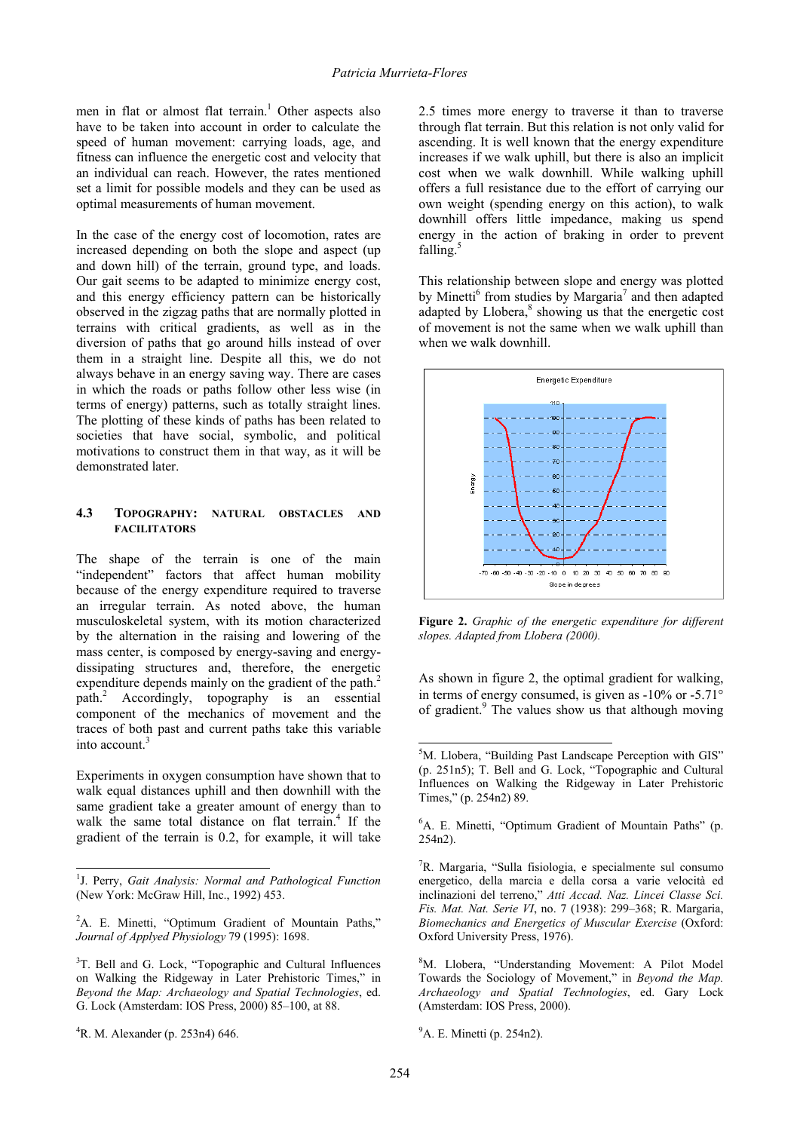men in flat or almost flat terrain.<sup>1</sup> Other aspects also have to be taken into account in order to calculate the speed of human movement: carrying loads, age, and fitness can influence the energetic cost and velocity that an individual can reach. However, the rates mentioned set a limit for possible models and they can be used as optimal measurements of human movement.

In the case of the energy cost of locomotion, rates are increased depending on both the slope and aspect (up and down hill) of the terrain, ground type, and loads. Our gait seems to be adapted to minimize energy cost, and this energy efficiency pattern can be historically observed in the zigzag paths that are normally plotted in terrains with critical gradients, as well as in the diversion of paths that go around hills instead of over them in a straight line. Despite all this, we do not always behave in an energy saving way. There are cases in which the roads or paths follow other less wise (in terms of energy) patterns, such as totally straight lines. The plotting of these kinds of paths has been related to societies that have social, symbolic, and political motivations to construct them in that way, as it will be demonstrated later.

### **4.3 TOPOGRAPHY: NATURAL OBSTACLES AND FACILITATORS**

The shape of the terrain is one of the main "independent" factors that affect human mobility because of the energy expenditure required to traverse an irregular terrain. As noted above, the human musculoskeletal system, with its motion characterized by the alternation in the raising and lowering of the mass center, is composed by energy-saving and energydissipating structures and, therefore, the energetic expenditure depends mainly on the gradient of the path.<sup>2</sup> path.2 Accordingly, topography is an essential component of the mechanics of movement and the traces of both past and current paths take this variable into account.<sup>3</sup>

Experiments in oxygen consumption have shown that to walk equal distances uphill and then downhill with the same gradient take a greater amount of energy than to walk the same total distance on flat terrain.<sup>4</sup> If the gradient of the terrain is 0.2, for example, it will take

 $\overline{a}$ 

2.5 times more energy to traverse it than to traverse through flat terrain. But this relation is not only valid for ascending. It is well known that the energy expenditure increases if we walk uphill, but there is also an implicit cost when we walk downhill. While walking uphill offers a full resistance due to the effort of carrying our own weight (spending energy on this action), to walk downhill offers little impedance, making us spend energy in the action of braking in order to prevent falling. $5$ 

This relationship between slope and energy was plotted by Minetti<sup>6</sup> from studies by Margaria<sup>7</sup> and then adapted adapted by Llobera,<sup>8</sup> showing us that the energetic cost of movement is not the same when we walk uphill than when we walk downhill.



**Figure 2.** *Graphic of the energetic expenditure for different slopes. Adapted from Llobera (2000).* 

As shown in figure 2, the optimal gradient for walking, in terms of energy consumed, is given as  $-10\%$  or  $-5.71\degree$ of gradient.<sup>9</sup> The values show us that although moving

<sup>1</sup> J. Perry, *Gait Analysis: Normal and Pathological Function* (New York: McGraw Hill, Inc., 1992) 453.

<sup>&</sup>lt;sup>2</sup>A. E. Minetti, "Optimum Gradient of Mountain Paths," *Journal of Applyed Physiology* 79 (1995): 1698.

<sup>&</sup>lt;sup>3</sup>T. Bell and G. Lock, "Topographic and Cultural Influences on Walking the Ridgeway in Later Prehistoric Times," in *Beyond the Map: Archaeology and Spatial Technologies*, ed. G. Lock (Amsterdam: IOS Press, 2000) 85–100, at 88.

<sup>4</sup> R. M. Alexander (p. 253n4) 646.

<sup>&</sup>lt;sup>5</sup>M. Llobera, "Building Past Landscape Perception with GIS" (p. 251n5); T. Bell and G. Lock, "Topographic and Cultural Influences on Walking the Ridgeway in Later Prehistoric Times," (p. 254n2) 89.

<sup>6</sup> A. E. Minetti, "Optimum Gradient of Mountain Paths" (p. 254n2).

<sup>7</sup> R. Margaria, "Sulla fisiologia, e specialmente sul consumo energetico, della marcia e della corsa a varie velocità ed inclinazioni del terreno," *Atti Accad. Naz. Lincei Classe Sci. Fis. Mat. Nat. Serie VI*, no. 7 (1938): 299–368; R. Margaria, *Biomechanics and Energetics of Muscular Exercise* (Oxford: Oxford University Press, 1976).

<sup>8</sup> M. Llobera, "Understanding Movement: A Pilot Model Towards the Sociology of Movement," in *Beyond the Map. Archaeology and Spatial Technologies*, ed. Gary Lock (Amsterdam: IOS Press, 2000).

<sup>&</sup>lt;sup>9</sup>A. E. Minetti (p. 254n2).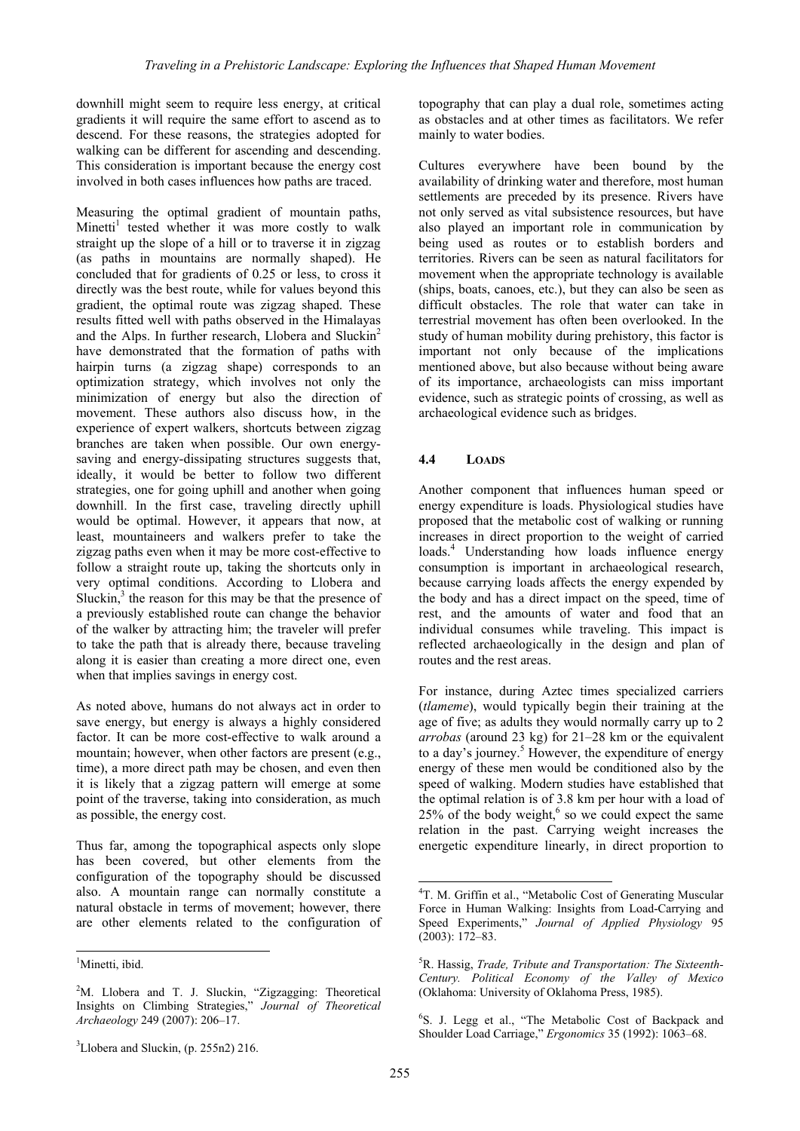downhill might seem to require less energy, at critical gradients it will require the same effort to ascend as to descend. For these reasons, the strategies adopted for walking can be different for ascending and descending. This consideration is important because the energy cost involved in both cases influences how paths are traced.

Measuring the optimal gradient of mountain paths, Minetti<sup>1</sup> tested whether it was more costly to walk straight up the slope of a hill or to traverse it in zigzag (as paths in mountains are normally shaped). He concluded that for gradients of 0.25 or less, to cross it directly was the best route, while for values beyond this gradient, the optimal route was zigzag shaped. These results fitted well with paths observed in the Himalayas and the Alps. In further research, Llobera and Sluckin<sup>2</sup> have demonstrated that the formation of paths with hairpin turns (a zigzag shape) corresponds to an optimization strategy, which involves not only the minimization of energy but also the direction of movement. These authors also discuss how, in the experience of expert walkers, shortcuts between zigzag branches are taken when possible. Our own energysaving and energy-dissipating structures suggests that, ideally, it would be better to follow two different strategies, one for going uphill and another when going downhill. In the first case, traveling directly uphill would be optimal. However, it appears that now, at least, mountaineers and walkers prefer to take the zigzag paths even when it may be more cost-effective to follow a straight route up, taking the shortcuts only in very optimal conditions. According to Llobera and Sluckin, $3$  the reason for this may be that the presence of a previously established route can change the behavior of the walker by attracting him; the traveler will prefer to take the path that is already there, because traveling along it is easier than creating a more direct one, even when that implies savings in energy cost.

As noted above, humans do not always act in order to save energy, but energy is always a highly considered factor. It can be more cost-effective to walk around a mountain; however, when other factors are present (e.g., time), a more direct path may be chosen, and even then it is likely that a zigzag pattern will emerge at some point of the traverse, taking into consideration, as much as possible, the energy cost.

Thus far, among the topographical aspects only slope has been covered, but other elements from the configuration of the topography should be discussed also. A mountain range can normally constitute a natural obstacle in terms of movement; however, there are other elements related to the configuration of

 $\overline{a}$ 

topography that can play a dual role, sometimes acting as obstacles and at other times as facilitators. We refer mainly to water bodies.

Cultures everywhere have been bound by the availability of drinking water and therefore, most human settlements are preceded by its presence. Rivers have not only served as vital subsistence resources, but have also played an important role in communication by being used as routes or to establish borders and territories. Rivers can be seen as natural facilitators for movement when the appropriate technology is available (ships, boats, canoes, etc.), but they can also be seen as difficult obstacles. The role that water can take in terrestrial movement has often been overlooked. In the study of human mobility during prehistory, this factor is important not only because of the implications mentioned above, but also because without being aware of its importance, archaeologists can miss important evidence, such as strategic points of crossing, as well as archaeological evidence such as bridges.

# **4.4 LOADS**

Another component that influences human speed or energy expenditure is loads. Physiological studies have proposed that the metabolic cost of walking or running increases in direct proportion to the weight of carried loads.<sup>4</sup> Understanding how loads influence energy consumption is important in archaeological research, because carrying loads affects the energy expended by the body and has a direct impact on the speed, time of rest, and the amounts of water and food that an individual consumes while traveling. This impact is reflected archaeologically in the design and plan of routes and the rest areas.

For instance, during Aztec times specialized carriers (*tlameme*), would typically begin their training at the age of five; as adults they would normally carry up to 2 *arrobas* (around 23 kg) for 21–28 km or the equivalent to a day's journey.<sup>5</sup> However, the expenditure of energy energy of these men would be conditioned also by the speed of walking. Modern studies have established that the optimal relation is of 3.8 km per hour with a load of  $25\%$  of the body weight,<sup>6</sup> so we could expect the same relation in the past. Carrying weight increases the energetic expenditure linearly, in direct proportion to

<sup>&</sup>lt;sup>1</sup>Minetti, ibid.

<sup>&</sup>lt;sup>2</sup>M. Llobera and T. J. Sluckin, "Zigzagging: Theoretical Insights on Climbing Strategies," *Journal of Theoretical Archaeology* 249 (2007): 206–17.

<sup>4</sup> T. M. Griffin et al., "Metabolic Cost of Generating Muscular Force in Human Walking: Insights from Load-Carrying and Speed Experiments," *Journal of Applied Physiology* 95 (2003): 172–83.

<sup>5</sup> R. Hassig, *Trade, Tribute and Transportation: The Sixteenth-Century. Political Economy of the Valley of Mexico* (Oklahoma: University of Oklahoma Press, 1985).

<sup>6</sup> S. J. Legg et al., "The Metabolic Cost of Backpack and Shoulder Load Carriage," *Ergonomics* 35 (1992): 1063–68.

 $3$ Llobera and Sluckin, (p. 255n2) 216.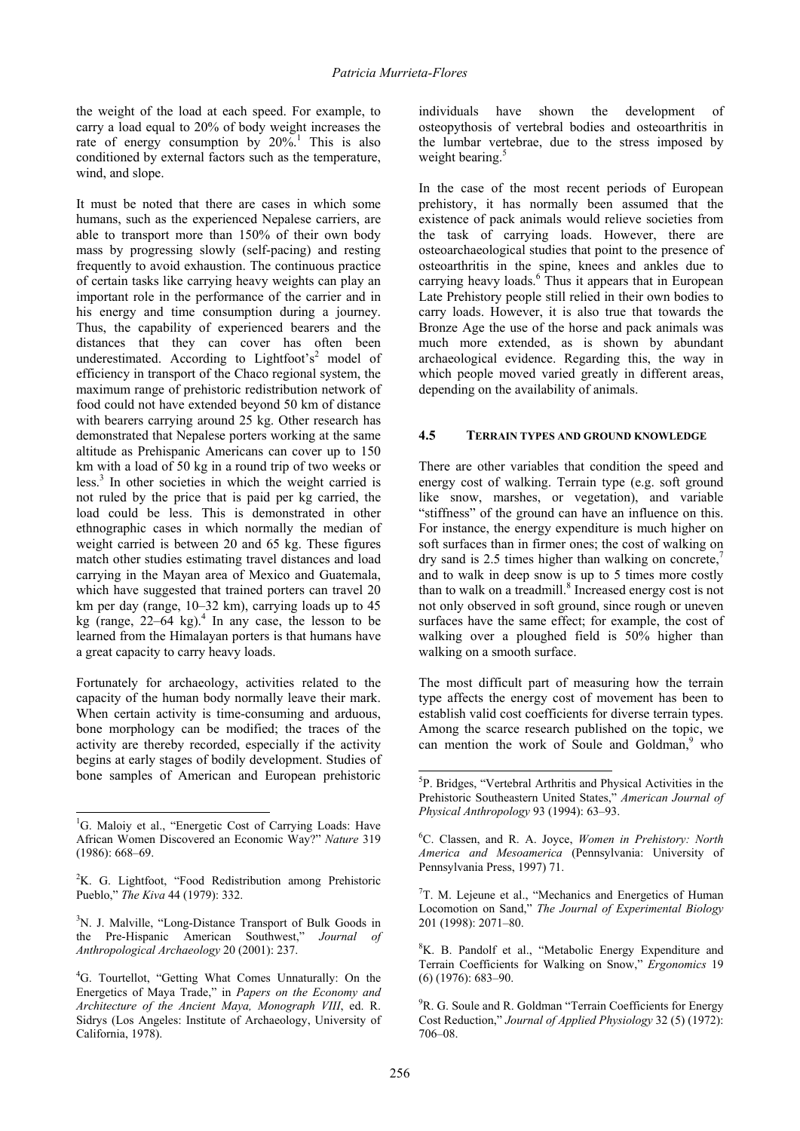the weight of the load at each speed. For example, to carry a load equal to 20% of body weight increases the rate of energy consumption by  $20\%$ <sup>1</sup>. This is also conditioned by external factors such as the temperature, wind, and slope.

It must be noted that there are cases in which some humans, such as the experienced Nepalese carriers, are able to transport more than 150% of their own body mass by progressing slowly (self-pacing) and resting frequently to avoid exhaustion. The continuous practice of certain tasks like carrying heavy weights can play an important role in the performance of the carrier and in his energy and time consumption during a journey. Thus, the capability of experienced bearers and the distances that they can cover has often been underestimated. According to Lightfoot's<sup>2</sup> model of efficiency in transport of the Chaco regional system, the maximum range of prehistoric redistribution network of food could not have extended beyond 50 km of distance with bearers carrying around 25 kg. Other research has demonstrated that Nepalese porters working at the same altitude as Prehispanic Americans can cover up to 150 km with a load of 50 kg in a round trip of two weeks or less.<sup>3</sup> In other societies in which the weight carried is not ruled by the price that is paid per kg carried, the load could be less. This is demonstrated in other ethnographic cases in which normally the median of weight carried is between 20 and 65 kg. These figures match other studies estimating travel distances and load carrying in the Mayan area of Mexico and Guatemala, which have suggested that trained porters can travel 20 km per day (range, 10–32 km), carrying loads up to 45 kg (range,  $22-64$  kg).<sup>4</sup> In any case, the lesson to be learned from the Himalayan porters is that humans have a great capacity to carry heavy loads.

Fortunately for archaeology, activities related to the capacity of the human body normally leave their mark. When certain activity is time-consuming and arduous, bone morphology can be modified; the traces of the activity are thereby recorded, especially if the activity begins at early stages of bodily development. Studies of bone samples of American and European prehistoric

 $\overline{a}$ 

In the case of the most recent periods of European prehistory, it has normally been assumed that the existence of pack animals would relieve societies from the task of carrying loads. However, there are osteoarchaeological studies that point to the presence of osteoarthritis in the spine, knees and ankles due to carrying heavy loads.<sup>6</sup> Thus it appears that in European Late Prehistory people still relied in their own bodies to carry loads. However, it is also true that towards the Bronze Age the use of the horse and pack animals was much more extended, as is shown by abundant archaeological evidence. Regarding this, the way in which people moved varied greatly in different areas, depending on the availability of animals.

# **4.5 TERRAIN TYPES AND GROUND KNOWLEDGE**

There are other variables that condition the speed and energy cost of walking. Terrain type (e.g. soft ground like snow, marshes, or vegetation), and variable "stiffness" of the ground can have an influence on this. For instance, the energy expenditure is much higher on soft surfaces than in firmer ones; the cost of walking on dry sand is 2.5 times higher than walking on concrete, $\frac{7}{2}$ and to walk in deep snow is up to 5 times more costly than to walk on a treadmill.<sup>8</sup> Increased energy cost is not not only observed in soft ground, since rough or uneven surfaces have the same effect; for example, the cost of walking over a ploughed field is 50% higher than walking on a smooth surface.

The most difficult part of measuring how the terrain type affects the energy cost of movement has been to establish valid cost coefficients for diverse terrain types. Among the scarce research published on the topic, we can mention the work of Soule and Goldman,<sup>9</sup> who

<sup>&</sup>lt;sup>1</sup>G. Maloiy et al., "Energetic Cost of Carrying Loads: Have African Women Discovered an Economic Way?" *Nature* 319 (1986): 668–69.

 ${}^{2}$ K. G. Lightfoot, "Food Redistribution among Prehistoric Pueblo," *The Kiva* 44 (1979): 332.

<sup>&</sup>lt;sup>3</sup>N. J. Malville, "Long-Distance Transport of Bulk Goods in the Pre-Hispanic American Southwest," *Journal of Anthropological Archaeology* 20 (2001): 237.

<sup>&</sup>lt;sup>4</sup>G. Tourtellot, "Getting What Comes Unnaturally: On the Energetics of Maya Trade," in *Papers on the Economy and Architecture of the Ancient Maya, Monograph VIII*, ed. R. Sidrys (Los Angeles: Institute of Archaeology, University of California, 1978).

 5 P. Bridges, "Vertebral Arthritis and Physical Activities in the Prehistoric Southeastern United States," *American Journal of Physical Anthropology* 93 (1994): 63–93.

<sup>6</sup> C. Classen, and R. A. Joyce, *Women in Prehistory: North America and Mesoamerica* (Pennsylvania: University of Pennsylvania Press, 1997) 71.

<sup>7</sup> T. M. Lejeune et al., "Mechanics and Energetics of Human Locomotion on Sand," *The Journal of Experimental Biology*  201 (1998): 2071–80.

<sup>&</sup>lt;sup>8</sup>K. B. Pandolf et al., "Metabolic Energy Expenditure and Terrain Coefficients for Walking on Snow," *Ergonomics* 19 (6) (1976): 683–90.

<sup>&</sup>lt;sup>9</sup>R. G. Soule and R. Goldman "Terrain Coefficients for Energy Cost Reduction," *Journal of Applied Physiology* 32 (5) (1972): 706–08.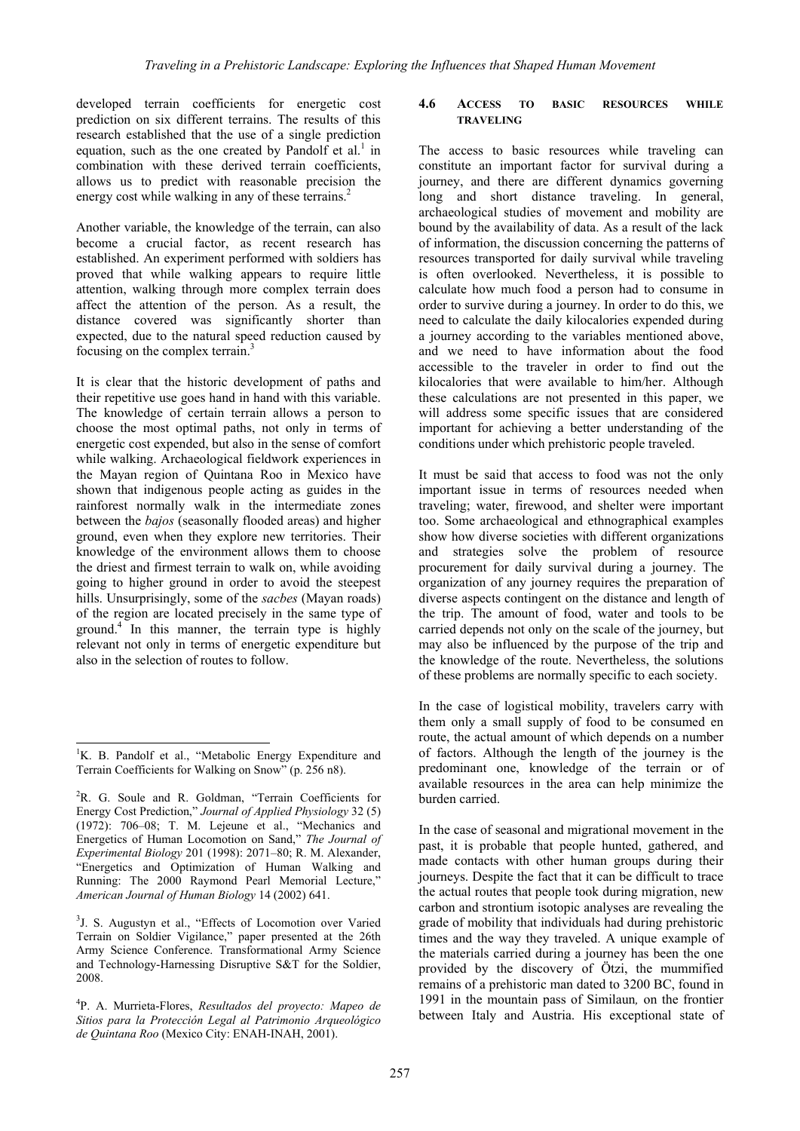developed terrain coefficients for energetic cost prediction on six different terrains. The results of this research established that the use of a single prediction equation, such as the one created by Pandolf et al.<sup>1</sup> in combination with these derived terrain coefficients, allows us to predict with reasonable precision the energy cost while walking in any of these terrains.<sup>2</sup>

Another variable, the knowledge of the terrain, can also become a crucial factor, as recent research has established. An experiment performed with soldiers has proved that while walking appears to require little attention, walking through more complex terrain does affect the attention of the person. As a result, the distance covered was significantly shorter than expected, due to the natural speed reduction caused by focusing on the complex terrain.3

It is clear that the historic development of paths and their repetitive use goes hand in hand with this variable. The knowledge of certain terrain allows a person to choose the most optimal paths, not only in terms of energetic cost expended, but also in the sense of comfort while walking. Archaeological fieldwork experiences in the Mayan region of Quintana Roo in Mexico have shown that indigenous people acting as guides in the rainforest normally walk in the intermediate zones between the *bajos* (seasonally flooded areas) and higher ground, even when they explore new territories. Their knowledge of the environment allows them to choose the driest and firmest terrain to walk on, while avoiding going to higher ground in order to avoid the steepest hills. Unsurprisingly, some of the *sacbes* (Mayan roads) of the region are located precisely in the same type of ground.4 In this manner, the terrain type is highly relevant not only in terms of energetic expenditure but also in the selection of routes to follow.

 $\overline{a}$ 

<sup>3</sup>J. S. Augustyn et al., "Effects of Locomotion over Varied Terrain on Soldier Vigilance," paper presented at the 26th Army Science Conference. Transformational Army Science and Technology-Harnessing Disruptive S&T for the Soldier, 2008.

4 P. A. Murrieta-Flores, *Resultados del proyecto: Mapeo de Sitios para la Protección Legal al Patrimonio Arqueológico de Quintana Roo* (Mexico City: ENAH-INAH, 2001).

### **4.6 ACCESS TO BASIC RESOURCES WHILE TRAVELING**

The access to basic resources while traveling can constitute an important factor for survival during a journey, and there are different dynamics governing long and short distance traveling. In general, archaeological studies of movement and mobility are bound by the availability of data. As a result of the lack of information, the discussion concerning the patterns of resources transported for daily survival while traveling is often overlooked. Nevertheless, it is possible to calculate how much food a person had to consume in order to survive during a journey. In order to do this, we need to calculate the daily kilocalories expended during a journey according to the variables mentioned above, and we need to have information about the food accessible to the traveler in order to find out the kilocalories that were available to him/her. Although these calculations are not presented in this paper, we will address some specific issues that are considered important for achieving a better understanding of the conditions under which prehistoric people traveled.

It must be said that access to food was not the only important issue in terms of resources needed when traveling; water, firewood, and shelter were important too. Some archaeological and ethnographical examples show how diverse societies with different organizations and strategies solve the problem of resource procurement for daily survival during a journey. The organization of any journey requires the preparation of diverse aspects contingent on the distance and length of the trip. The amount of food, water and tools to be carried depends not only on the scale of the journey, but may also be influenced by the purpose of the trip and the knowledge of the route. Nevertheless, the solutions of these problems are normally specific to each society.

In the case of logistical mobility, travelers carry with them only a small supply of food to be consumed en route, the actual amount of which depends on a number of factors. Although the length of the journey is the predominant one, knowledge of the terrain or of available resources in the area can help minimize the burden carried.

In the case of seasonal and migrational movement in the past, it is probable that people hunted, gathered, and made contacts with other human groups during their journeys. Despite the fact that it can be difficult to trace the actual routes that people took during migration, new carbon and strontium isotopic analyses are revealing the grade of mobility that individuals had during prehistoric times and the way they traveled. A unique example of the materials carried during a journey has been the one provided by the discovery of Ötzi, the mummified remains of a prehistoric man dated to 3200 BC, found in 1991 in the mountain pass of Similaun*,* on the frontier between Italy and Austria. His exceptional state of

<sup>&</sup>lt;sup>1</sup>K. B. Pandolf et al., "Metabolic Energy Expenditure and Terrain Coefficients for Walking on Snow" (p. 256 n8).

<sup>&</sup>lt;sup>2</sup>R. G. Soule and R. Goldman, "Terrain Coefficients for Energy Cost Prediction," *Journal of Applied Physiology* 32 (5) (1972): 706–08; T. M. Lejeune et al., "Mechanics and Energetics of Human Locomotion on Sand," *The Journal of Experimental Biology* 201 (1998): 2071–80; R. M. Alexander, "Energetics and Optimization of Human Walking and Running: The 2000 Raymond Pearl Memorial Lecture," *American Journal of Human Biology* 14 (2002) 641.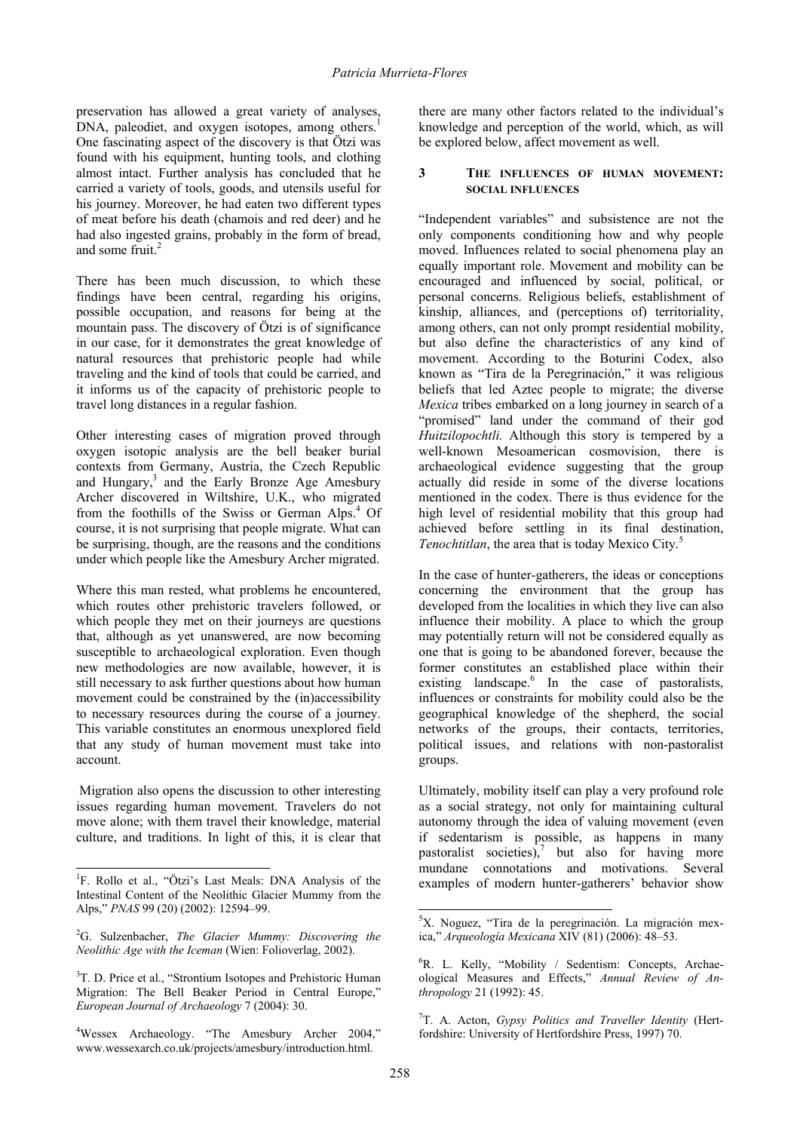preservation has allowed a great variety of analyses, DNA, paleodiet, and oxygen isotopes, among others.<sup>1</sup> One fascinating aspect of the discovery is that Ötzi was found with his equipment, hunting tools, and clothing almost intact. Further analysis has concluded that he carried a variety of tools, goods, and utensils useful for his journey. Moreover, he had eaten two different types of meat before his death (chamois and red deer) and he had also ingested grains, probably in the form of bread, and some fruit. $2$ 

There has been much discussion, to which these findings have been central, regarding his origins, possible occupation, and reasons for being at the mountain pass. The discovery of Ötzi is of significance in our case, for it demonstrates the great knowledge of natural resources that prehistoric people had while traveling and the kind of tools that could be carried, and it informs us of the capacity of prehistoric people to travel long distances in a regular fashion.

Other interesting cases of migration proved through oxygen isotopic analysis are the bell beaker burial contexts from Germany, Austria, the Czech Republic and Hungary,<sup>3</sup> and the Early Bronze Age Amesbury Archer discovered in Wiltshire, U.K., who migrated from the foothills of the Swiss or German Alps.<sup>4</sup> Of course, it is not surprising that people migrate. What can be surprising, though, are the reasons and the conditions under which people like the Amesbury Archer migrated.

Where this man rested, what problems he encountered, which routes other prehistoric travelers followed, or which people they met on their journeys are questions that, although as yet unanswered, are now becoming susceptible to archaeological exploration. Even though new methodologies are now available, however, it is still necessary to ask further questions about how human movement could be constrained by the (in)accessibility to necessary resources during the course of a journey. This variable constitutes an enormous unexplored field that any study of human movement must take into account.

 Migration also opens the discussion to other interesting issues regarding human movement. Travelers do not move alone; with them travel their knowledge, material culture, and traditions. In light of this, it is clear that

 $\overline{a}$ 

there are many other factors related to the individual's knowledge and perception of the world, which, as will be explored below, affect movement as well.

## **3 THE INFLUENCES OF HUMAN MOVEMENT: SOCIAL INFLUENCES**

"Independent variables" and subsistence are not the only components conditioning how and why people moved. Influences related to social phenomena play an equally important role. Movement and mobility can be encouraged and influenced by social, political, or personal concerns. Religious beliefs, establishment of kinship, alliances, and (perceptions of) territoriality, among others, can not only prompt residential mobility, but also define the characteristics of any kind of movement. According to the Boturini Codex, also known as "Tira de la Peregrinación," it was religious beliefs that led Aztec people to migrate; the diverse *Mexica* tribes embarked on a long journey in search of a "promised" land under the command of their god *Huitzilopochtli.* Although this story is tempered by a well-known Mesoamerican cosmovision, there is archaeological evidence suggesting that the group actually did reside in some of the diverse locations mentioned in the codex. There is thus evidence for the high level of residential mobility that this group had achieved before settling in its final destination, *Tenochtitlan*, the area that is today Mexico City.<sup>5</sup>

In the case of hunter-gatherers, the ideas or conceptions concerning the environment that the group has developed from the localities in which they live can also influence their mobility. A place to which the group may potentially return will not be considered equally as one that is going to be abandoned forever, because the former constitutes an established place within their existing landscape.<sup>6</sup> In the case of pastoralists, influences or constraints for mobility could also be the geographical knowledge of the shepherd, the social networks of the groups, their contacts, territories, political issues, and relations with non-pastoralist groups.

Ultimately, mobility itself can play a very profound role as a social strategy, not only for maintaining cultural autonomy through the idea of valuing movement (even if sedentarism is possible, as happens in many pastoralist societies), $7$  but also for having more mundane connotations and motivations. Several examples of modern hunter-gatherers' behavior show

<sup>&</sup>lt;sup>1</sup>F. Rollo et al., "Ötzi's Last Meals: DNA Analysis of the Intestinal Content of the Neolithic Glacier Mummy from the Alps," *PNAS* 99 (20) (2002): 12594–99.

<sup>2</sup> G. Sulzenbacher, *The Glacier Mummy: Discovering the Neolithic Age with the Iceman* (Wien: Folioverlag, 2002).

<sup>&</sup>lt;sup>3</sup>T. D. Price et al., "Strontium Isotopes and Prehistoric Human Migration: The Bell Beaker Period in Central Europe," *European Journal of Archaeology* 7 (2004): 30.

<sup>4</sup> Wessex Archaeology. "The Amesbury Archer 2004," www.wessexarch.co.uk/projects/amesbury/introduction.html.

 5 X. Noguez, "Tira de la peregrinación. La migración mexica," *Arqueología Mexicana* XIV (81) (2006): 48–53.

<sup>&</sup>lt;sup>6</sup>R. L. Kelly, "Mobility / Sedentism: Concepts, Archaeological Measures and Effects," *Annual Review of Anthropology* 21 (1992): 45.

<sup>7</sup> T. A. Acton, *Gypsy Politics and Traveller Identity* (Hertfordshire: University of Hertfordshire Press, 1997) 70.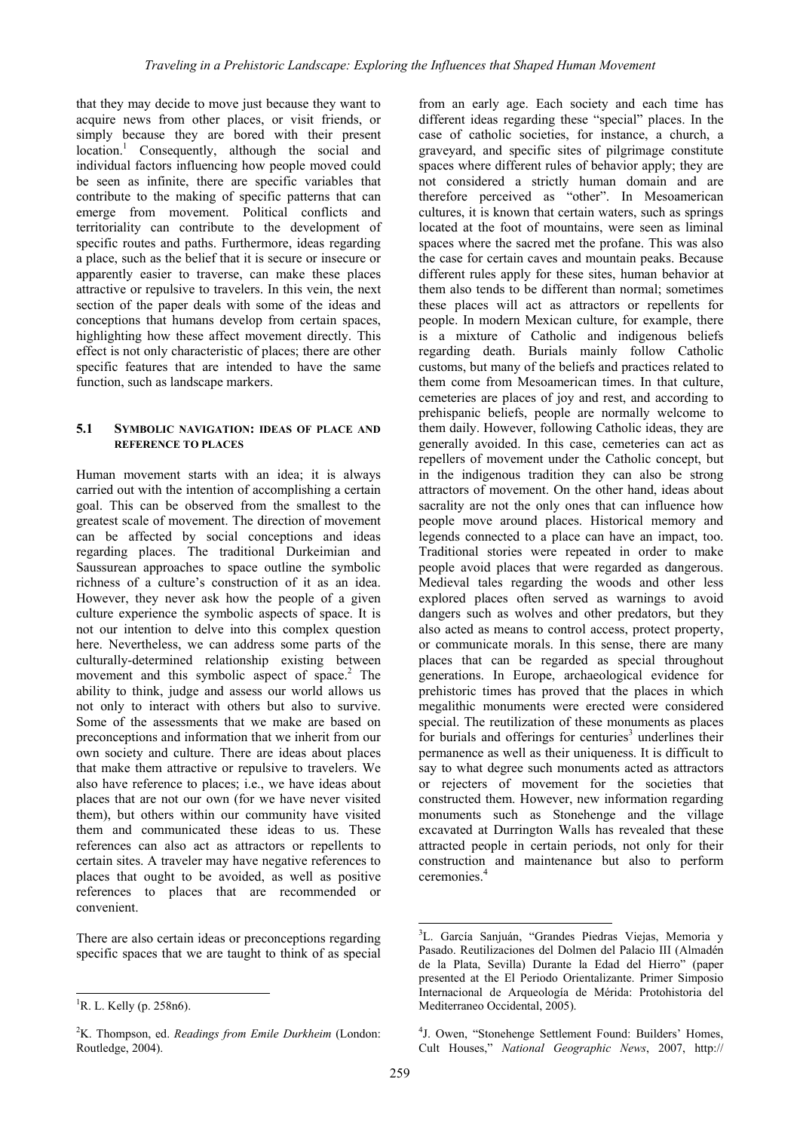that they may decide to move just because they want to acquire news from other places, or visit friends, or simply because they are bored with their present location.<sup>1</sup> Consequently, although the social and individual factors influencing how people moved could be seen as infinite, there are specific variables that contribute to the making of specific patterns that can emerge from movement. Political conflicts and territoriality can contribute to the development of specific routes and paths. Furthermore, ideas regarding a place, such as the belief that it is secure or insecure or apparently easier to traverse, can make these places attractive or repulsive to travelers. In this vein, the next section of the paper deals with some of the ideas and conceptions that humans develop from certain spaces, highlighting how these affect movement directly. This effect is not only characteristic of places; there are other specific features that are intended to have the same function, such as landscape markers.

### **5.1 SYMBOLIC NAVIGATION: IDEAS OF PLACE AND REFERENCE TO PLACES**

Human movement starts with an idea; it is always carried out with the intention of accomplishing a certain goal. This can be observed from the smallest to the greatest scale of movement. The direction of movement can be affected by social conceptions and ideas regarding places. The traditional Durkeimian and Saussurean approaches to space outline the symbolic richness of a culture's construction of it as an idea. However, they never ask how the people of a given culture experience the symbolic aspects of space. It is not our intention to delve into this complex question here. Nevertheless, we can address some parts of the culturally-determined relationship existing between movement and this symbolic aspect of space.<sup>2</sup> The ability to think, judge and assess our world allows us not only to interact with others but also to survive. Some of the assessments that we make are based on preconceptions and information that we inherit from our own society and culture. There are ideas about places that make them attractive or repulsive to travelers. We also have reference to places; i.e., we have ideas about places that are not our own (for we have never visited them), but others within our community have visited them and communicated these ideas to us. These references can also act as attractors or repellents to certain sites. A traveler may have negative references to places that ought to be avoided, as well as positive references to places that are recommended or convenient.

There are also certain ideas or preconceptions regarding specific spaces that we are taught to think of as special

 $\overline{a}$ 

from an early age. Each society and each time has different ideas regarding these "special" places. In the case of catholic societies, for instance, a church, a graveyard, and specific sites of pilgrimage constitute spaces where different rules of behavior apply; they are not considered a strictly human domain and are therefore perceived as "other". In Mesoamerican cultures, it is known that certain waters, such as springs located at the foot of mountains, were seen as liminal spaces where the sacred met the profane. This was also the case for certain caves and mountain peaks. Because different rules apply for these sites, human behavior at them also tends to be different than normal; sometimes these places will act as attractors or repellents for people. In modern Mexican culture, for example, there is a mixture of Catholic and indigenous beliefs regarding death. Burials mainly follow Catholic customs, but many of the beliefs and practices related to them come from Mesoamerican times. In that culture, cemeteries are places of joy and rest, and according to prehispanic beliefs, people are normally welcome to them daily. However, following Catholic ideas, they are generally avoided. In this case, cemeteries can act as repellers of movement under the Catholic concept, but in the indigenous tradition they can also be strong attractors of movement. On the other hand, ideas about sacrality are not the only ones that can influence how people move around places. Historical memory and legends connected to a place can have an impact, too. Traditional stories were repeated in order to make people avoid places that were regarded as dangerous. Medieval tales regarding the woods and other less explored places often served as warnings to avoid dangers such as wolves and other predators, but they also acted as means to control access, protect property, or communicate morals. In this sense, there are many places that can be regarded as special throughout generations. In Europe, archaeological evidence for prehistoric times has proved that the places in which megalithic monuments were erected were considered special. The reutilization of these monuments as places for burials and offerings for centuries<sup>3</sup> underlines their permanence as well as their uniqueness. It is difficult to say to what degree such monuments acted as attractors or rejecters of movement for the societies that constructed them. However, new information regarding monuments such as Stonehenge and the village excavated at Durrington Walls has revealed that these attracted people in certain periods, not only for their construction and maintenance but also to perform ceremonies<sup>4</sup>

 ${}^{1}$ R. L. Kelly (p. 258n6).

<sup>2</sup> K. Thompson, ed. *Readings from Emile Durkheim* (London: Routledge, 2004).

<sup>&</sup>lt;sup>3</sup>L. García Sanjuán, "Grandes Piedras Viejas, Memoria y Pasado. Reutilizaciones del Dolmen del Palacio III (Almadén de la Plata, Sevilla) Durante la Edad del Hierro" (paper presented at the El Periodo Orientalizante. Primer Simposio Internacional de Arqueología de Mérida: Protohistoria del Mediterraneo Occidental, 2005).

<sup>4</sup> J. Owen, "Stonehenge Settlement Found: Builders' Homes, Cult Houses," *National Geographic News*, 2007, http://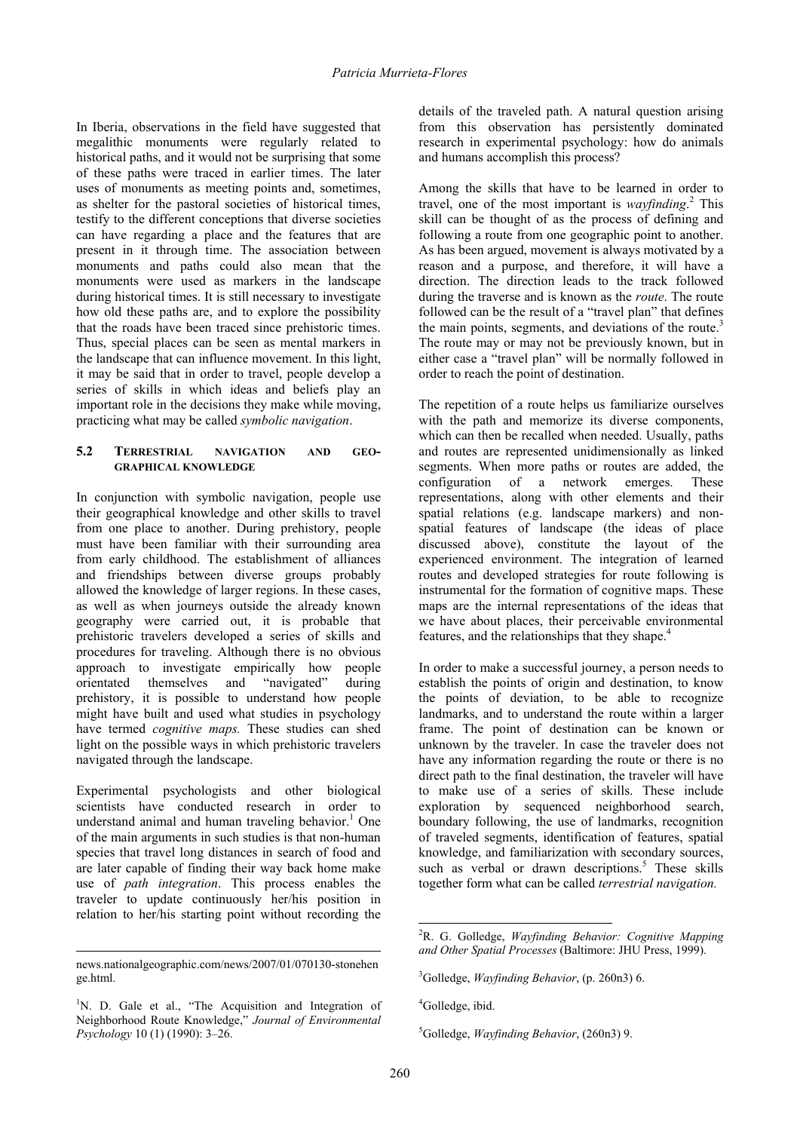In Iberia, observations in the field have suggested that megalithic monuments were regularly related to historical paths, and it would not be surprising that some of these paths were traced in earlier times. The later uses of monuments as meeting points and, sometimes, as shelter for the pastoral societies of historical times, testify to the different conceptions that diverse societies can have regarding a place and the features that are present in it through time. The association between monuments and paths could also mean that the monuments were used as markers in the landscape during historical times. It is still necessary to investigate how old these paths are, and to explore the possibility that the roads have been traced since prehistoric times. Thus, special places can be seen as mental markers in the landscape that can influence movement. In this light, it may be said that in order to travel, people develop a series of skills in which ideas and beliefs play an important role in the decisions they make while moving, practicing what may be called *symbolic navigation*.

## **5.2 TERRESTRIAL NAVIGATION AND GEO-GRAPHICAL KNOWLEDGE**

In conjunction with symbolic navigation, people use their geographical knowledge and other skills to travel from one place to another. During prehistory, people must have been familiar with their surrounding area from early childhood. The establishment of alliances and friendships between diverse groups probably allowed the knowledge of larger regions. In these cases, as well as when journeys outside the already known geography were carried out, it is probable that prehistoric travelers developed a series of skills and procedures for traveling. Although there is no obvious approach to investigate empirically how people orientated themselves and "navigated" during prehistory, it is possible to understand how people might have built and used what studies in psychology have termed *cognitive maps.* These studies can shed light on the possible ways in which prehistoric travelers navigated through the landscape.

Experimental psychologists and other biological scientists have conducted research in order to understand animal and human traveling behavior.<sup>1</sup> One of the main arguments in such studies is that non-human species that travel long distances in search of food and are later capable of finding their way back home make use of *path integration*. This process enables the traveler to update continuously her/his position in relation to her/his starting point without recording the

 $\overline{a}$ 

details of the traveled path. A natural question arising from this observation has persistently dominated research in experimental psychology: how do animals and humans accomplish this process?

Among the skills that have to be learned in order to travel, one of the most important is *wayfinding*. 2 This skill can be thought of as the process of defining and following a route from one geographic point to another. As has been argued, movement is always motivated by a reason and a purpose, and therefore, it will have a direction. The direction leads to the track followed during the traverse and is known as the *route*. The route followed can be the result of a "travel plan" that defines the main points, segments, and deviations of the route. $3$ The route may or may not be previously known, but in either case a "travel plan" will be normally followed in order to reach the point of destination.

The repetition of a route helps us familiarize ourselves with the path and memorize its diverse components, which can then be recalled when needed. Usually, paths and routes are represented unidimensionally as linked segments. When more paths or routes are added, the configuration of a network emerges. These representations, along with other elements and their spatial relations (e.g. landscape markers) and nonspatial features of landscape (the ideas of place discussed above), constitute the layout of the experienced environment. The integration of learned routes and developed strategies for route following is instrumental for the formation of cognitive maps. These maps are the internal representations of the ideas that we have about places, their perceivable environmental features, and the relationships that they shape.<sup>4</sup>

In order to make a successful journey, a person needs to establish the points of origin and destination, to know the points of deviation, to be able to recognize landmarks, and to understand the route within a larger frame. The point of destination can be known or unknown by the traveler. In case the traveler does not have any information regarding the route or there is no direct path to the final destination, the traveler will have to make use of a series of skills. These include exploration by sequenced neighborhood search, boundary following, the use of landmarks, recognition of traveled segments, identification of features, spatial knowledge, and familiarization with secondary sources, such as verbal or drawn descriptions.<sup>5</sup> These skills together form what can be called *terrestrial navigation.*

news.nationalgeographic.com/news/2007/01/070130-stonehen ge.html.

<sup>&</sup>lt;sup>1</sup>N. D. Gale et al., "The Acquisition and Integration of Neighborhood Route Knowledge," *Journal of Environmental Psychology* 10 (1) (1990): 3–26.

<sup>2</sup> R. G. Golledge, *Wayfinding Behavior: Cognitive Mapping and Other Spatial Processes* (Baltimore: JHU Press, 1999).

<sup>3</sup> Golledge, *Wayfinding Behavior*, (p. 260n3) 6.

<sup>4</sup> Golledge, ibid.

<sup>5</sup> Golledge, *Wayfinding Behavior*, (260n3) 9.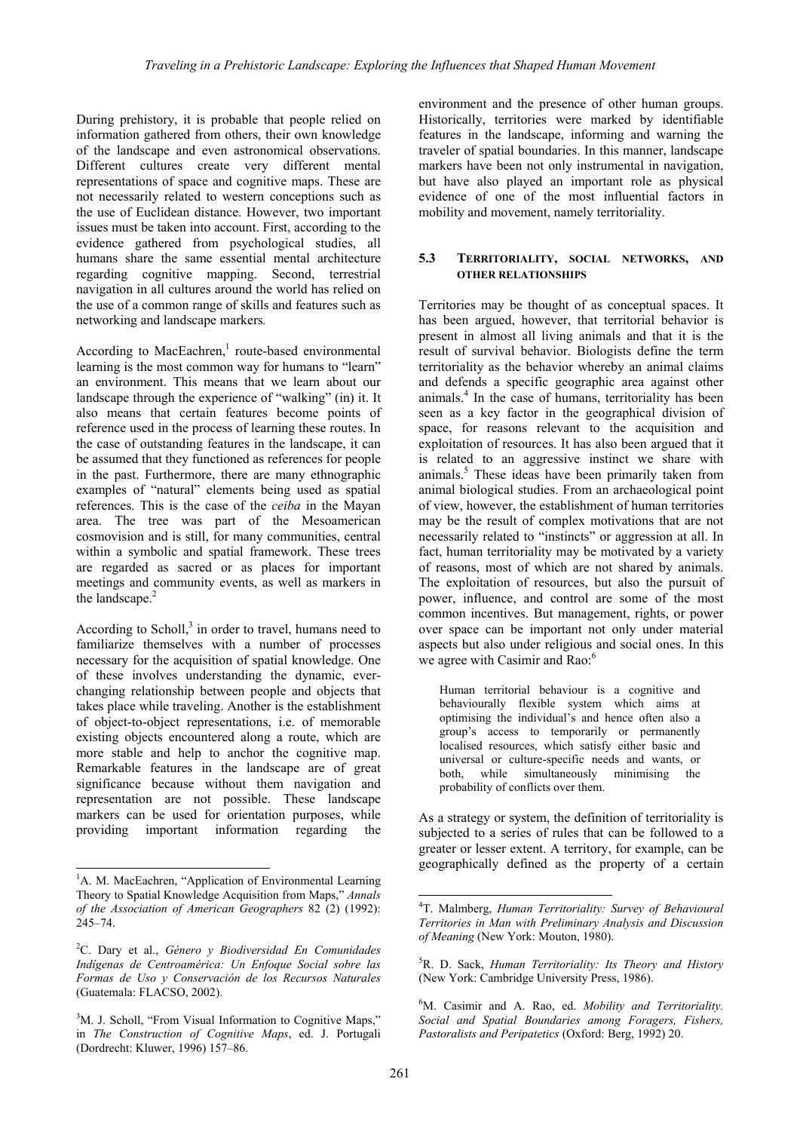During prehistory, it is probable that people relied on information gathered from others, their own knowledge of the landscape and even astronomical observations. Different cultures create very different mental representations of space and cognitive maps. These are not necessarily related to western conceptions such as the use of Euclidean distance. However, two important issues must be taken into account. First, according to the evidence gathered from psychological studies, all humans share the same essential mental architecture regarding cognitive mapping. Second, terrestrial navigation in all cultures around the world has relied on the use of a common range of skills and features such as networking and landscape markers*.*

According to MacEachren, $<sup>1</sup>$  route-based environmental</sup> learning is the most common way for humans to "learn" an environment. This means that we learn about our landscape through the experience of "walking" (in) it. It also means that certain features become points of reference used in the process of learning these routes. In the case of outstanding features in the landscape, it can be assumed that they functioned as references for people in the past. Furthermore, there are many ethnographic examples of "natural" elements being used as spatial references. This is the case of the *ceiba* in the Mayan area. The tree was part of the Mesoamerican cosmovision and is still, for many communities, central within a symbolic and spatial framework. These trees are regarded as sacred or as places for important meetings and community events, as well as markers in the landscape.<sup>2</sup>

According to Scholl, $3$  in order to travel, humans need to familiarize themselves with a number of processes necessary for the acquisition of spatial knowledge. One of these involves understanding the dynamic, everchanging relationship between people and objects that takes place while traveling. Another is the establishment of object-to-object representations, i.e. of memorable existing objects encountered along a route, which are more stable and help to anchor the cognitive map. Remarkable features in the landscape are of great significance because without them navigation and representation are not possible. These landscape markers can be used for orientation purposes, while providing important information regarding the

environment and the presence of other human groups. Historically, territories were marked by identifiable features in the landscape, informing and warning the traveler of spatial boundaries. In this manner, landscape markers have been not only instrumental in navigation, but have also played an important role as physical evidence of one of the most influential factors in mobility and movement, namely territoriality.

# **5.3 TERRITORIALITY, SOCIAL NETWORKS, AND OTHER RELATIONSHIPS**

Territories may be thought of as conceptual spaces. It has been argued, however, that territorial behavior is present in almost all living animals and that it is the result of survival behavior. Biologists define the term territoriality as the behavior whereby an animal claims and defends a specific geographic area against other animals.<sup>4</sup> In the case of humans, territoriality has been seen as a key factor in the geographical division of space, for reasons relevant to the acquisition and exploitation of resources. It has also been argued that it is related to an aggressive instinct we share with animals.<sup>5</sup> These ideas have been primarily taken from animal biological studies. From an archaeological point of view, however, the establishment of human territories may be the result of complex motivations that are not necessarily related to "instincts" or aggression at all. In fact, human territoriality may be motivated by a variety of reasons, most of which are not shared by animals. The exploitation of resources, but also the pursuit of power, influence, and control are some of the most common incentives. But management, rights, or power over space can be important not only under material aspects but also under religious and social ones. In this we agree with Casimir and Rao:<sup>6</sup>

Human territorial behaviour is a cognitive and behaviourally flexible system which aims at optimising the individual's and hence often also a group's access to temporarily or permanently localised resources, which satisfy either basic and universal or culture-specific needs and wants, or both, while simultaneously minimising the probability of conflicts over them.

As a strategy or system, the definition of territoriality is subjected to a series of rules that can be followed to a greater or lesser extent. A territory, for example, can be geographically defined as the property of a certain

 $\overline{a}$ <sup>1</sup>A. M. MacEachren, "Application of Environmental Learning Theory to Spatial Knowledge Acquisition from Maps," *Annals of the Association of American Geographers* 82 (2) (1992): 245–74.

<sup>2</sup> C. Dary et al., *Género y Biodiversidad En Comunidades Indígenas de Centroamérica: Un Enfoque Social sobre las Formas de Uso y Conservación de los Recursos Naturales* (Guatemala: FLACSO, 2002).

<sup>&</sup>lt;sup>3</sup>M. J. Scholl, "From Visual Information to Cognitive Maps," in *The Construction of Cognitive Maps*, ed. J. Portugali (Dordrecht: Kluwer, 1996) 157–86.

<sup>4</sup> T. Malmberg, *Human Territoriality: Survey of Behavioural Territories in Man with Preliminary Analysis and Discussion of Meaning* (New York: Mouton, 1980).

<sup>5</sup> R. D. Sack, *Human Territoriality: Its Theory and History* (New York: Cambridge University Press, 1986).

<sup>6</sup> M. Casimir and A. Rao, ed. *Mobility and Territoriality. Social and Spatial Boundaries among Foragers, Fishers, Pastoralists and Peripatetics* (Oxford: Berg, 1992) 20.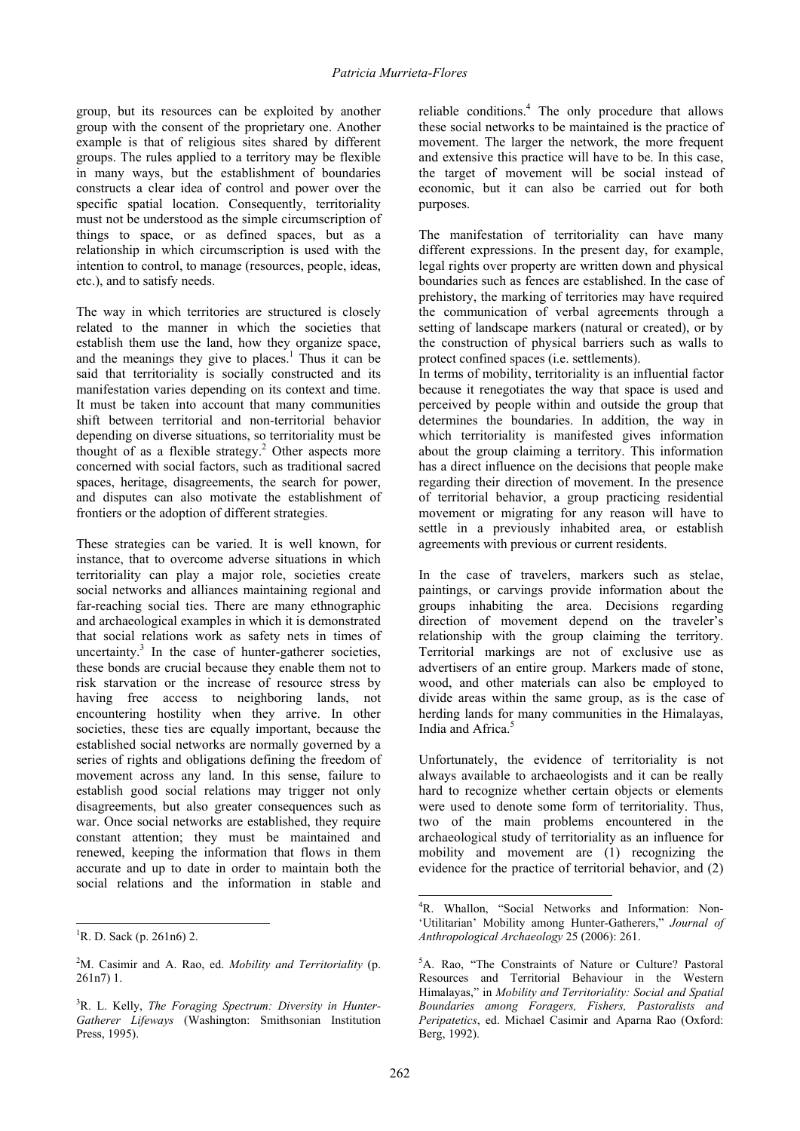group, but its resources can be exploited by another group with the consent of the proprietary one. Another example is that of religious sites shared by different groups. The rules applied to a territory may be flexible in many ways, but the establishment of boundaries constructs a clear idea of control and power over the specific spatial location. Consequently, territoriality must not be understood as the simple circumscription of things to space, or as defined spaces, but as a relationship in which circumscription is used with the intention to control, to manage (resources, people, ideas, etc.), and to satisfy needs.

The way in which territories are structured is closely related to the manner in which the societies that establish them use the land, how they organize space, and the meanings they give to places.<sup>1</sup> Thus it can be said that territoriality is socially constructed and its manifestation varies depending on its context and time. It must be taken into account that many communities shift between territorial and non-territorial behavior depending on diverse situations, so territoriality must be thought of as a flexible strategy.<sup>2</sup> Other aspects more concerned with social factors, such as traditional sacred spaces, heritage, disagreements, the search for power, and disputes can also motivate the establishment of frontiers or the adoption of different strategies.

These strategies can be varied. It is well known, for instance, that to overcome adverse situations in which territoriality can play a major role, societies create social networks and alliances maintaining regional and far-reaching social ties. There are many ethnographic and archaeological examples in which it is demonstrated that social relations work as safety nets in times of uncertainty.<sup>3</sup> In the case of hunter-gatherer societies, these bonds are crucial because they enable them not to risk starvation or the increase of resource stress by having free access to neighboring lands, not encountering hostility when they arrive. In other societies, these ties are equally important, because the established social networks are normally governed by a series of rights and obligations defining the freedom of movement across any land. In this sense, failure to establish good social relations may trigger not only disagreements, but also greater consequences such as war. Once social networks are established, they require constant attention; they must be maintained and renewed, keeping the information that flows in them accurate and up to date in order to maintain both the social relations and the information in stable and

 $\overline{a}$ 

reliable conditions.<sup>4</sup> The only procedure that allows these social networks to be maintained is the practice of movement. The larger the network, the more frequent and extensive this practice will have to be. In this case, the target of movement will be social instead of economic, but it can also be carried out for both purposes.

The manifestation of territoriality can have many different expressions. In the present day, for example, legal rights over property are written down and physical boundaries such as fences are established. In the case of prehistory, the marking of territories may have required the communication of verbal agreements through a setting of landscape markers (natural or created), or by the construction of physical barriers such as walls to protect confined spaces (i.e. settlements).

In terms of mobility, territoriality is an influential factor because it renegotiates the way that space is used and perceived by people within and outside the group that determines the boundaries. In addition, the way in which territoriality is manifested gives information about the group claiming a territory. This information has a direct influence on the decisions that people make regarding their direction of movement. In the presence of territorial behavior, a group practicing residential movement or migrating for any reason will have to settle in a previously inhabited area, or establish agreements with previous or current residents.

In the case of travelers, markers such as stelae, paintings, or carvings provide information about the groups inhabiting the area. Decisions regarding direction of movement depend on the traveler's relationship with the group claiming the territory. Territorial markings are not of exclusive use as advertisers of an entire group. Markers made of stone, wood, and other materials can also be employed to divide areas within the same group, as is the case of herding lands for many communities in the Himalayas, India and Africa.<sup>5</sup>

Unfortunately, the evidence of territoriality is not always available to archaeologists and it can be really hard to recognize whether certain objects or elements were used to denote some form of territoriality. Thus, two of the main problems encountered in the archaeological study of territoriality as an influence for mobility and movement are (1) recognizing the evidence for the practice of territorial behavior, and (2)

<sup>&</sup>lt;sup>1</sup>R. D. Sack (p. 261n6) 2.

<sup>2</sup> M. Casimir and A. Rao, ed. *Mobility and Territoriality* (p. 261n7) 1.

<sup>3</sup> R. L. Kelly, *The Foraging Spectrum: Diversity in Hunter-Gatherer Lifeways* (Washington: Smithsonian Institution Press, 1995).

<sup>&</sup>lt;sup>4</sup>R. Whallon, "Social Networks and Information: Non-'Utilitarian' Mobility among Hunter-Gatherers," *Journal of Anthropological Archaeology* 25 (2006): 261.

<sup>&</sup>lt;sup>5</sup>A. Rao, "The Constraints of Nature or Culture? Pastoral Resources and Territorial Behaviour in the Western Himalayas," in *Mobility and Territoriality: Social and Spatial Boundaries among Foragers, Fishers, Pastoralists and Peripatetics*, ed. Michael Casimir and Aparna Rao (Oxford: Berg, 1992).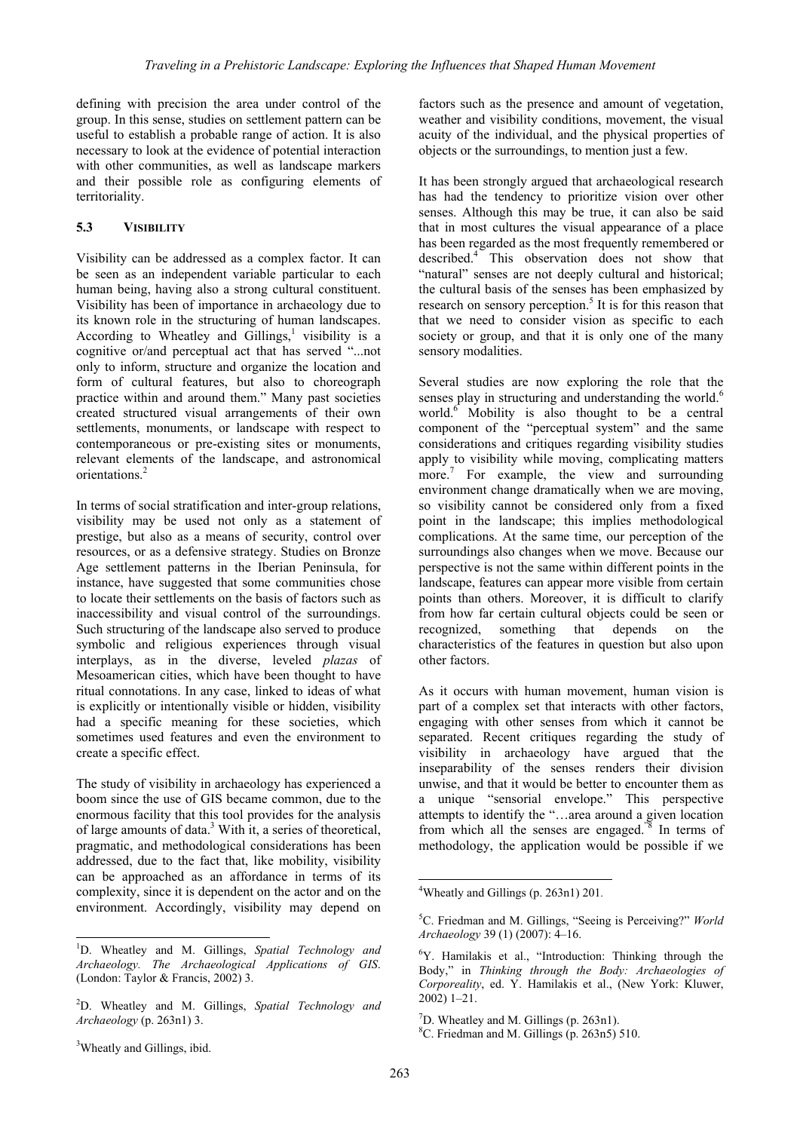defining with precision the area under control of the group. In this sense, studies on settlement pattern can be useful to establish a probable range of action. It is also necessary to look at the evidence of potential interaction with other communities, as well as landscape markers and their possible role as configuring elements of territoriality.

# **5.3 VISIBILITY**

Visibility can be addressed as a complex factor. It can be seen as an independent variable particular to each human being, having also a strong cultural constituent. Visibility has been of importance in archaeology due to its known role in the structuring of human landscapes. According to Wheatley and Gillings,<sup>1</sup> visibility is a cognitive or/and perceptual act that has served "...not only to inform, structure and organize the location and form of cultural features, but also to choreograph practice within and around them." Many past societies created structured visual arrangements of their own settlements, monuments, or landscape with respect to contemporaneous or pre-existing sites or monuments, relevant elements of the landscape, and astronomical orientations.<sup>2</sup>

In terms of social stratification and inter-group relations, visibility may be used not only as a statement of prestige, but also as a means of security, control over resources, or as a defensive strategy. Studies on Bronze Age settlement patterns in the Iberian Peninsula, for instance, have suggested that some communities chose to locate their settlements on the basis of factors such as inaccessibility and visual control of the surroundings. Such structuring of the landscape also served to produce symbolic and religious experiences through visual interplays, as in the diverse, leveled *plazas* of Mesoamerican cities, which have been thought to have ritual connotations. In any case, linked to ideas of what is explicitly or intentionally visible or hidden, visibility had a specific meaning for these societies, which sometimes used features and even the environment to create a specific effect.

The study of visibility in archaeology has experienced a boom since the use of GIS became common, due to the enormous facility that this tool provides for the analysis of large amounts of data.<sup>3</sup> With it, a series of theoretical, pragmatic, and methodological considerations has been addressed, due to the fact that, like mobility, visibility can be approached as an affordance in terms of its complexity, since it is dependent on the actor and on the environment. Accordingly, visibility may depend on

factors such as the presence and amount of vegetation, weather and visibility conditions, movement, the visual acuity of the individual, and the physical properties of objects or the surroundings, to mention just a few.

It has been strongly argued that archaeological research has had the tendency to prioritize vision over other senses. Although this may be true, it can also be said that in most cultures the visual appearance of a place has been regarded as the most frequently remembered or described.4 This observation does not show that "natural" senses are not deeply cultural and historical; the cultural basis of the senses has been emphasized by research on sensory perception.<sup>5</sup> It is for this reason that that we need to consider vision as specific to each society or group, and that it is only one of the many sensory modalities.

Several studies are now exploring the role that the senses play in structuring and understanding the world.<sup>6</sup> world.<sup>6</sup> Mobility is also thought to be a central component of the "perceptual system" and the same considerations and critiques regarding visibility studies apply to visibility while moving, complicating matters more.<sup>7</sup> For example, the view and surrounding environment change dramatically when we are moving, so visibility cannot be considered only from a fixed point in the landscape; this implies methodological complications. At the same time, our perception of the surroundings also changes when we move. Because our perspective is not the same within different points in the landscape, features can appear more visible from certain points than others. Moreover, it is difficult to clarify from how far certain cultural objects could be seen or recognized, something that depends on the characteristics of the features in question but also upon other factors.

As it occurs with human movement, human vision is part of a complex set that interacts with other factors, engaging with other senses from which it cannot be separated. Recent critiques regarding the study of visibility in archaeology have argued that the inseparability of the senses renders their division unwise, and that it would be better to encounter them as a unique "sensorial envelope." This perspective attempts to identify the "…area around a given location from which all the senses are engaged."8 In terms of methodology, the application would be possible if we

<sup>3</sup>Wheatly and Gillings, ibid.

l

<sup>1</sup> D. Wheatley and M. Gillings, *Spatial Technology and Archaeology. The Archaeological Applications of GIS*. (London: Taylor & Francis, 2002) 3.

<sup>2</sup> D. Wheatley and M. Gillings, *Spatial Technology and Archaeology* (p. 263n1) 3.

<sup>-</sup>4 Wheatly and Gillings (p. 263n1) 201*.* 

<sup>5</sup> C. Friedman and M. Gillings, "Seeing is Perceiving?" *World Archaeology* 39 (1) (2007): 4–16.

<sup>6</sup> Y. Hamilakis et al., "Introduction: Thinking through the Body," in *Thinking through the Body: Archaeologies of Corporeality*, ed. Y. Hamilakis et al., (New York: Kluwer, 2002) 1–21.

<sup>7</sup> D. Wheatley and M. Gillings (p. 263n1).

<sup>8</sup> C. Friedman and M. Gillings (p. 263n5) 510.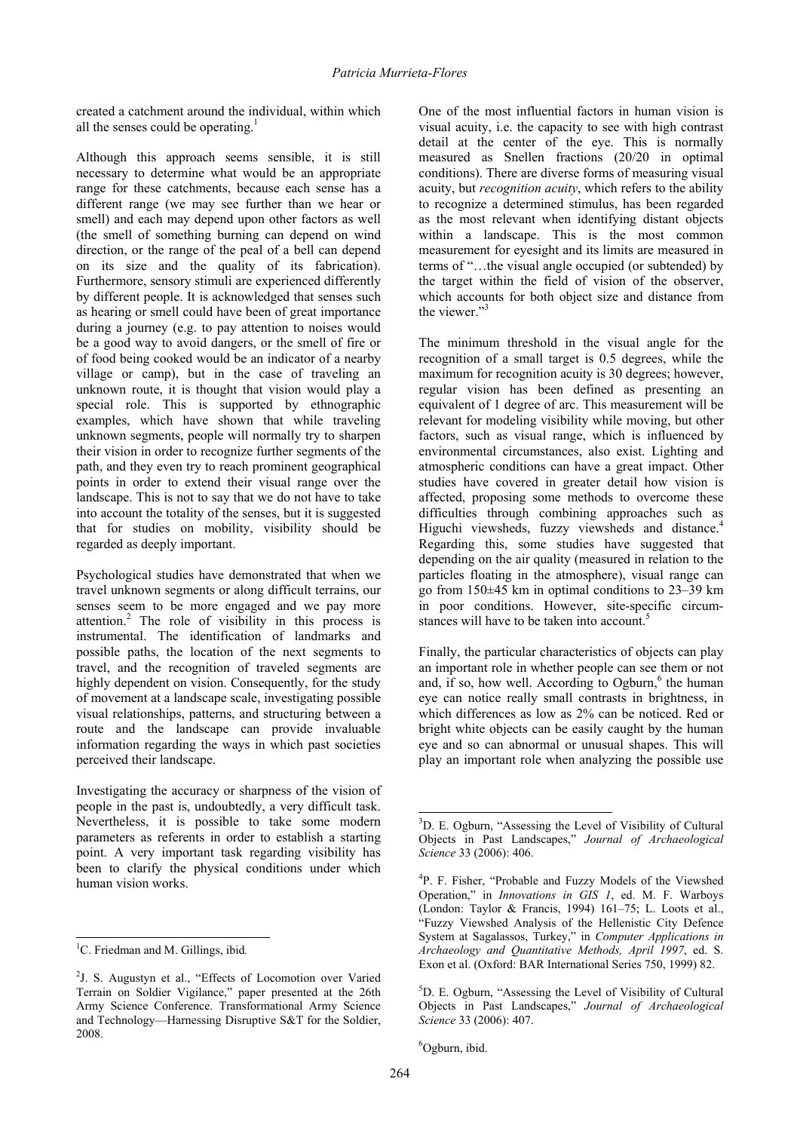created a catchment around the individual, within which all the senses could be operating.<sup>1</sup>

Although this approach seems sensible, it is still necessary to determine what would be an appropriate range for these catchments, because each sense has a different range (we may see further than we hear or smell) and each may depend upon other factors as well (the smell of something burning can depend on wind direction, or the range of the peal of a bell can depend on its size and the quality of its fabrication). Furthermore, sensory stimuli are experienced differently by different people. It is acknowledged that senses such as hearing or smell could have been of great importance during a journey (e.g. to pay attention to noises would be a good way to avoid dangers, or the smell of fire or of food being cooked would be an indicator of a nearby village or camp), but in the case of traveling an unknown route, it is thought that vision would play a special role. This is supported by ethnographic examples, which have shown that while traveling unknown segments, people will normally try to sharpen their vision in order to recognize further segments of the path, and they even try to reach prominent geographical points in order to extend their visual range over the landscape. This is not to say that we do not have to take into account the totality of the senses, but it is suggested that for studies on mobility, visibility should be regarded as deeply important.

Psychological studies have demonstrated that when we travel unknown segments or along difficult terrains, our senses seem to be more engaged and we pay more attention.2 The role of visibility in this process is instrumental. The identification of landmarks and possible paths, the location of the next segments to travel, and the recognition of traveled segments are highly dependent on vision. Consequently, for the study of movement at a landscape scale, investigating possible visual relationships, patterns, and structuring between a route and the landscape can provide invaluable information regarding the ways in which past societies perceived their landscape.

Investigating the accuracy or sharpness of the vision of people in the past is, undoubtedly, a very difficult task. Nevertheless, it is possible to take some modern parameters as referents in order to establish a starting point. A very important task regarding visibility has been to clarify the physical conditions under which human vision works.

l

One of the most influential factors in human vision is visual acuity, i.e. the capacity to see with high contrast detail at the center of the eye. This is normally measured as Snellen fractions (20/20 in optimal conditions). There are diverse forms of measuring visual acuity, but *recognition acuity*, which refers to the ability to recognize a determined stimulus, has been regarded as the most relevant when identifying distant objects within a landscape. This is the most common measurement for eyesight and its limits are measured in terms of "…the visual angle occupied (or subtended) by the target within the field of vision of the observer, which accounts for both object size and distance from the viewer."<sup>3</sup>

The minimum threshold in the visual angle for the recognition of a small target is 0.5 degrees, while the maximum for recognition acuity is 30 degrees; however, regular vision has been defined as presenting an equivalent of 1 degree of arc. This measurement will be relevant for modeling visibility while moving, but other factors, such as visual range, which is influenced by environmental circumstances, also exist. Lighting and atmospheric conditions can have a great impact. Other studies have covered in greater detail how vision is affected, proposing some methods to overcome these difficulties through combining approaches such as Higuchi viewsheds, fuzzy viewsheds and distance.<sup>4</sup> Regarding this, some studies have suggested that depending on the air quality (measured in relation to the particles floating in the atmosphere), visual range can go from 150±45 km in optimal conditions to 23–39 km in poor conditions. However, site-specific circumstances will have to be taken into account.<sup>5</sup>

Finally, the particular characteristics of objects can play an important role in whether people can see them or not and, if so, how well. According to Ogburn, $<sup>6</sup>$  the human</sup> eye can notice really small contrasts in brightness, in which differences as low as 2% can be noticed. Red or bright white objects can be easily caught by the human eye and so can abnormal or unusual shapes. This will play an important role when analyzing the possible use

6 Ogburn, ibid.

<sup>1</sup> C. Friedman and M. Gillings, ibid*.* 

<sup>&</sup>lt;sup>2</sup>J. S. Augustyn et al., "Effects of Locomotion over Varied Terrain on Soldier Vigilance," paper presented at the 26th Army Science Conference. Transformational Army Science and Technology—Harnessing Disruptive S&T for the Soldier, 2008.

<sup>&</sup>lt;sup>3</sup>D. E. Ogburn, "Assessing the Level of Visibility of Cultural Objects in Past Landscapes," *Journal of Archaeological Science* 33 (2006): 406.

<sup>4</sup> P. F. Fisher, "Probable and Fuzzy Models of the Viewshed Operation," in *Innovations in GIS 1*, ed. M. F. Warboys (London: Taylor & Francis, 1994) 161–75; L. Loots et al., "Fuzzy Viewshed Analysis of the Hellenistic City Defence System at Sagalassos, Turkey," in *Computer Applications in Archaeology and Quantitative Methods, April 1997*, ed. S. Exon et al. (Oxford: BAR International Series 750, 1999) 82.

<sup>5</sup> D. E. Ogburn, "Assessing the Level of Visibility of Cultural Objects in Past Landscapes," *Journal of Archaeological Science* 33 (2006): 407.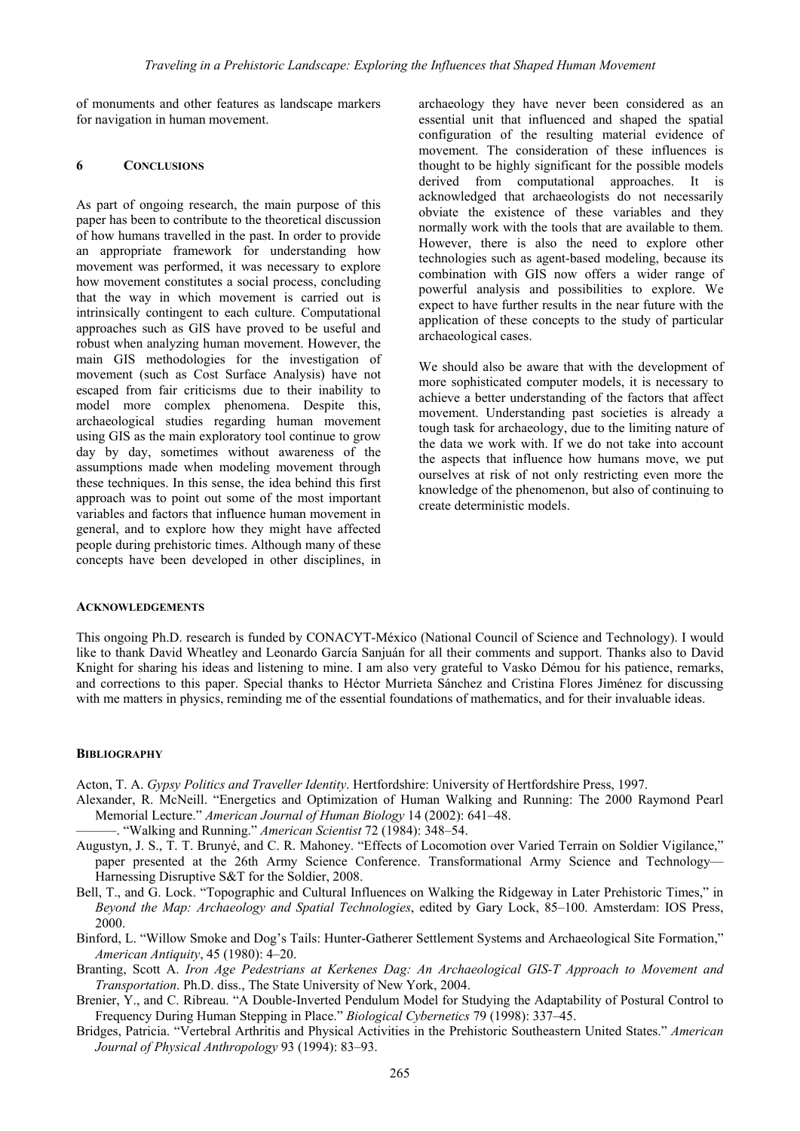of monuments and other features as landscape markers for navigation in human movement.

### **6 CONCLUSIONS**

As part of ongoing research, the main purpose of this paper has been to contribute to the theoretical discussion of how humans travelled in the past. In order to provide an appropriate framework for understanding how movement was performed, it was necessary to explore how movement constitutes a social process, concluding that the way in which movement is carried out is intrinsically contingent to each culture. Computational approaches such as GIS have proved to be useful and robust when analyzing human movement. However, the main GIS methodologies for the investigation of movement (such as Cost Surface Analysis) have not escaped from fair criticisms due to their inability to model more complex phenomena. Despite this, archaeological studies regarding human movement using GIS as the main exploratory tool continue to grow day by day, sometimes without awareness of the assumptions made when modeling movement through these techniques. In this sense, the idea behind this first approach was to point out some of the most important variables and factors that influence human movement in general, and to explore how they might have affected people during prehistoric times. Although many of these concepts have been developed in other disciplines, in archaeology they have never been considered as an essential unit that influenced and shaped the spatial configuration of the resulting material evidence of movement. The consideration of these influences is thought to be highly significant for the possible models derived from computational approaches. It is acknowledged that archaeologists do not necessarily obviate the existence of these variables and they normally work with the tools that are available to them. However, there is also the need to explore other technologies such as agent-based modeling, because its combination with GIS now offers a wider range of powerful analysis and possibilities to explore. We expect to have further results in the near future with the application of these concepts to the study of particular archaeological cases.

We should also be aware that with the development of more sophisticated computer models, it is necessary to achieve a better understanding of the factors that affect movement. Understanding past societies is already a tough task for archaeology, due to the limiting nature of the data we work with. If we do not take into account the aspects that influence how humans move, we put ourselves at risk of not only restricting even more the knowledge of the phenomenon, but also of continuing to create deterministic models.

### **ACKNOWLEDGEMENTS**

This ongoing Ph.D. research is funded by CONACYT-México (National Council of Science and Technology). I would like to thank David Wheatley and Leonardo García Sanjuán for all their comments and support. Thanks also to David Knight for sharing his ideas and listening to mine. I am also very grateful to Vasko Démou for his patience, remarks, and corrections to this paper. Special thanks to Héctor Murrieta Sánchez and Cristina Flores Jiménez for discussing with me matters in physics, reminding me of the essential foundations of mathematics, and for their invaluable ideas.

#### **BIBLIOGRAPHY**

Acton, T. A. *Gypsy Politics and Traveller Identity*. Hertfordshire: University of Hertfordshire Press, 1997.

- Alexander, R. McNeill. "Energetics and Optimization of Human Walking and Running: The 2000 Raymond Pearl Memorial Lecture." *American Journal of Human Biology* 14 (2002): 641–48.
- ———. "Walking and Running." *American Scientist* 72 (1984): 348–54.
- Augustyn, J. S., T. T. Brunyé, and C. R. Mahoney. "Effects of Locomotion over Varied Terrain on Soldier Vigilance," paper presented at the 26th Army Science Conference. Transformational Army Science and Technology— Harnessing Disruptive S&T for the Soldier, 2008.
- Bell, T., and G. Lock. "Topographic and Cultural Influences on Walking the Ridgeway in Later Prehistoric Times," in *Beyond the Map: Archaeology and Spatial Technologies*, edited by Gary Lock, 85–100. Amsterdam: IOS Press, 2000.
- Binford, L. "Willow Smoke and Dog's Tails: Hunter-Gatherer Settlement Systems and Archaeological Site Formation," *American Antiquity*, 45 (1980): 4–20.
- Branting, Scott A. *Iron Age Pedestrians at Kerkenes Dag: An Archaeological GIS-T Approach to Movement and Transportation*. Ph.D. diss., The State University of New York, 2004.
- Brenier, Y., and C. Ribreau. "A Double-Inverted Pendulum Model for Studying the Adaptability of Postural Control to Frequency During Human Stepping in Place." *Biological Cybernetics* 79 (1998): 337–45.
- Bridges, Patricia. "Vertebral Arthritis and Physical Activities in the Prehistoric Southeastern United States." *American Journal of Physical Anthropology* 93 (1994): 83–93.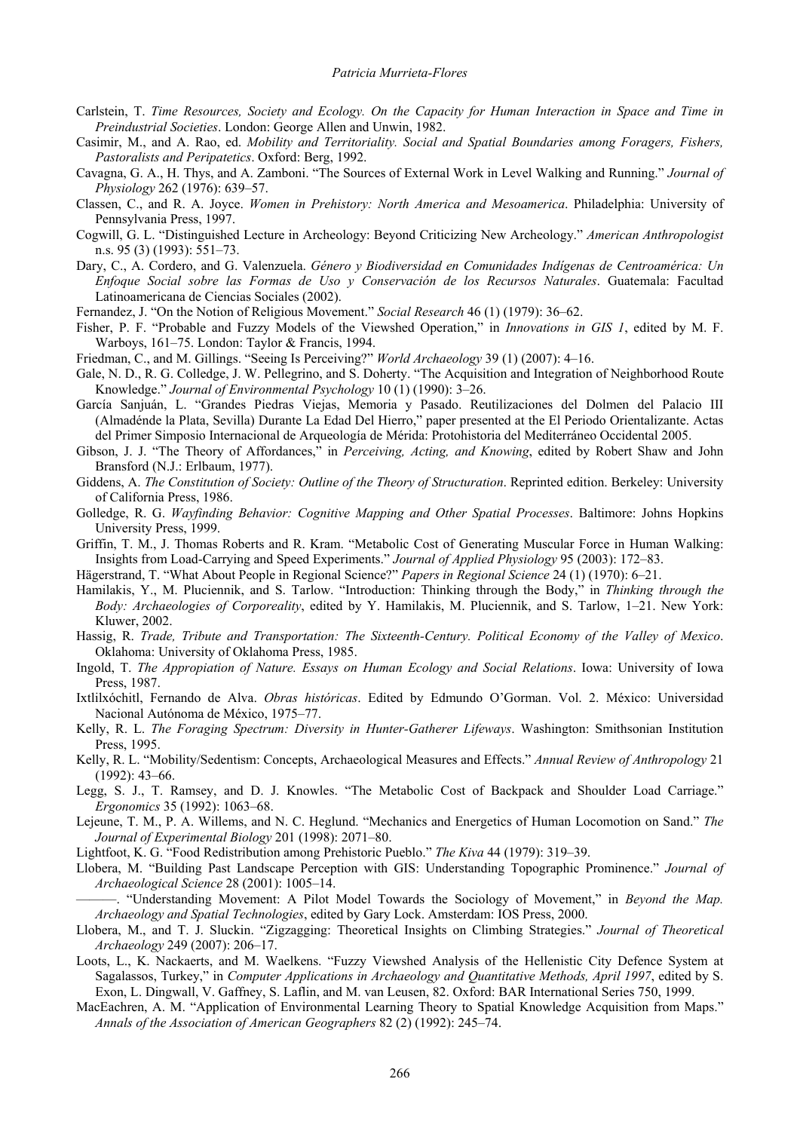- Carlstein, T. *Time Resources, Society and Ecology. On the Capacity for Human Interaction in Space and Time in Preindustrial Societies*. London: George Allen and Unwin, 1982.
- Casimir, M., and A. Rao, ed. *Mobility and Territoriality. Social and Spatial Boundaries among Foragers, Fishers, Pastoralists and Peripatetics*. Oxford: Berg, 1992.
- Cavagna, G. A., H. Thys, and A. Zamboni. "The Sources of External Work in Level Walking and Running." *Journal of Physiology* 262 (1976): 639–57.
- Classen, C., and R. A. Joyce. *Women in Prehistory: North America and Mesoamerica*. Philadelphia: University of Pennsylvania Press, 1997.
- Cogwill, G. L. "Distinguished Lecture in Archeology: Beyond Criticizing New Archeology." *American Anthropologist*  n.s. 95 (3) (1993): 551–73.
- Dary, C., A. Cordero, and G. Valenzuela. *Género y Biodiversidad en Comunidades Indígenas de Centroamérica: Un Enfoque Social sobre las Formas de Uso y Conservación de los Recursos Naturales*. Guatemala: Facultad Latinoamericana de Ciencias Sociales (2002).
- Fernandez, J. "On the Notion of Religious Movement." *Social Research* 46 (1) (1979): 36–62.
- Fisher, P. F. "Probable and Fuzzy Models of the Viewshed Operation," in *Innovations in GIS 1*, edited by M. F. Warboys, 161–75. London: Taylor & Francis, 1994.
- Friedman, C., and M. Gillings. "Seeing Is Perceiving?" *World Archaeology* 39 (1) (2007): 4–16.
- Gale, N. D., R. G. Colledge, J. W. Pellegrino, and S. Doherty. "The Acquisition and Integration of Neighborhood Route Knowledge." *Journal of Environmental Psychology* 10 (1) (1990): 3–26.
- García Sanjuán, L. "Grandes Piedras Viejas, Memoria y Pasado. Reutilizaciones del Dolmen del Palacio III (Almadénde la Plata, Sevilla) Durante La Edad Del Hierro," paper presented at the El Periodo Orientalizante. Actas del Primer Simposio Internacional de Arqueología de Mérida: Protohistoria del Mediterráneo Occidental 2005.
- Gibson, J. J. "The Theory of Affordances," in *Perceiving, Acting, and Knowing*, edited by Robert Shaw and John Bransford (N.J.: Erlbaum, 1977).
- Giddens, A. *The Constitution of Society: Outline of the Theory of Structuration*. Reprinted edition. Berkeley: University of California Press, 1986.
- Golledge, R. G. *Wayfinding Behavior: Cognitive Mapping and Other Spatial Processes*. Baltimore: Johns Hopkins University Press, 1999.
- Griffin, T. M., J. Thomas Roberts and R. Kram. "Metabolic Cost of Generating Muscular Force in Human Walking: Insights from Load-Carrying and Speed Experiments." *Journal of Applied Physiology* 95 (2003): 172–83.
- Hägerstrand, T. "What About People in Regional Science?" *Papers in Regional Science* 24 (1) (1970): 6–21.
- Hamilakis, Y., M. Pluciennik, and S. Tarlow. "Introduction: Thinking through the Body," in *Thinking through the Body: Archaeologies of Corporeality*, edited by Y. Hamilakis, M. Pluciennik, and S. Tarlow, 1–21. New York: Kluwer, 2002.
- Hassig, R. *Trade, Tribute and Transportation: The Sixteenth-Century. Political Economy of the Valley of Mexico*. Oklahoma: University of Oklahoma Press, 1985.
- Ingold, T. *The Appropiation of Nature. Essays on Human Ecology and Social Relations*. Iowa: University of Iowa Press, 1987.
- Ixtlilxóchitl, Fernando de Alva. *Obras históricas*. Edited by Edmundo O'Gorman. Vol. 2. México: Universidad Nacional Autónoma de México, 1975–77.
- Kelly, R. L. *The Foraging Spectrum: Diversity in Hunter-Gatherer Lifeways*. Washington: Smithsonian Institution Press, 1995.
- Kelly, R. L. "Mobility/Sedentism: Concepts, Archaeological Measures and Effects." *Annual Review of Anthropology* 21 (1992): 43–66.
- Legg, S. J., T. Ramsey, and D. J. Knowles. "The Metabolic Cost of Backpack and Shoulder Load Carriage." *Ergonomics* 35 (1992): 1063–68.
- Lejeune, T. M., P. A. Willems, and N. C. Heglund. "Mechanics and Energetics of Human Locomotion on Sand." *The Journal of Experimental Biology* 201 (1998): 2071–80.
- Lightfoot, K. G. "Food Redistribution among Prehistoric Pueblo." *The Kiva* 44 (1979): 319–39.
- Llobera, M. "Building Past Landscape Perception with GIS: Understanding Topographic Prominence." *Journal of Archaeological Science* 28 (2001): 1005–14.

———. "Understanding Movement: A Pilot Model Towards the Sociology of Movement," in *Beyond the Map. Archaeology and Spatial Technologies*, edited by Gary Lock. Amsterdam: IOS Press, 2000.

- Llobera, M., and T. J. Sluckin. "Zigzagging: Theoretical Insights on Climbing Strategies." *Journal of Theoretical Archaeology* 249 (2007): 206–17.
- Loots, L., K. Nackaerts, and M. Waelkens. "Fuzzy Viewshed Analysis of the Hellenistic City Defence System at Sagalassos, Turkey," in *Computer Applications in Archaeology and Quantitative Methods, April 1997*, edited by S. Exon, L. Dingwall, V. Gaffney, S. Laflin, and M. van Leusen, 82. Oxford: BAR International Series 750, 1999.
- MacEachren, A. M. "Application of Environmental Learning Theory to Spatial Knowledge Acquisition from Maps." *Annals of the Association of American Geographers* 82 (2) (1992): 245–74.